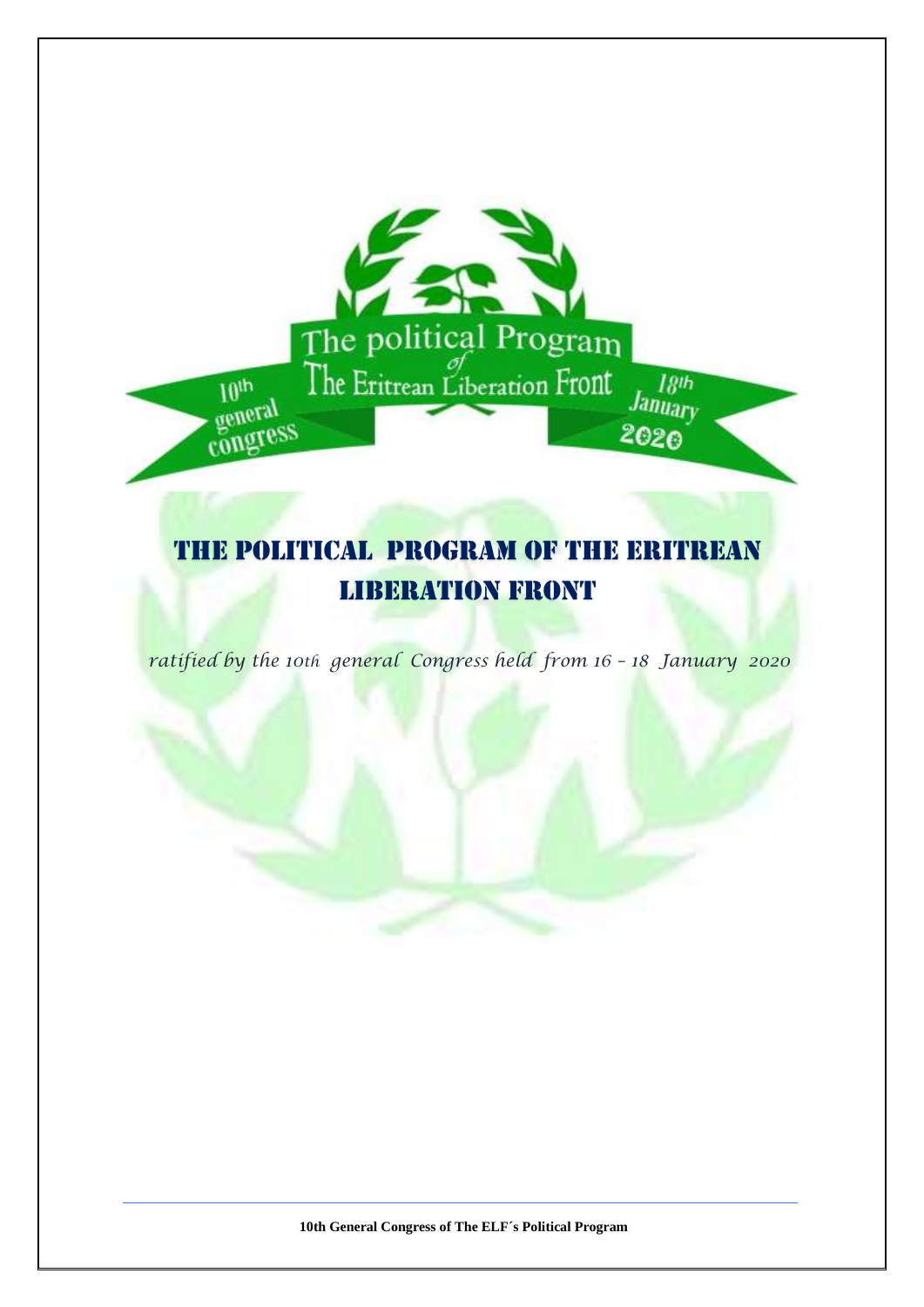# The Political program of The Eritrean Liberation Front

The political Program

2020

 $10<sup>th</sup>$ 

congress

*ratified by the 10th general Congress held from 16 – 18 January 2020*

**10th General Congress of The ELF´s Political Program**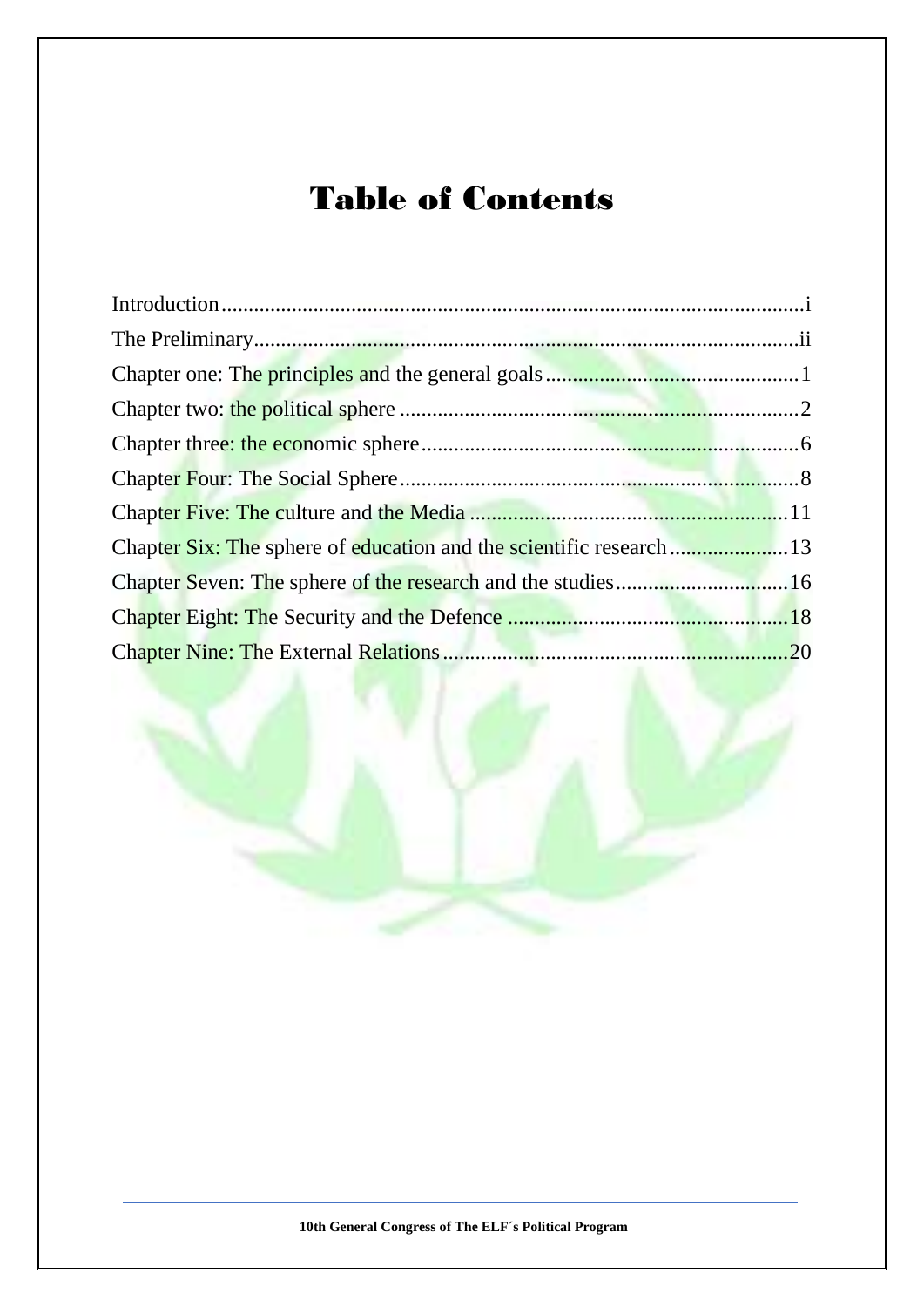# Table of Contents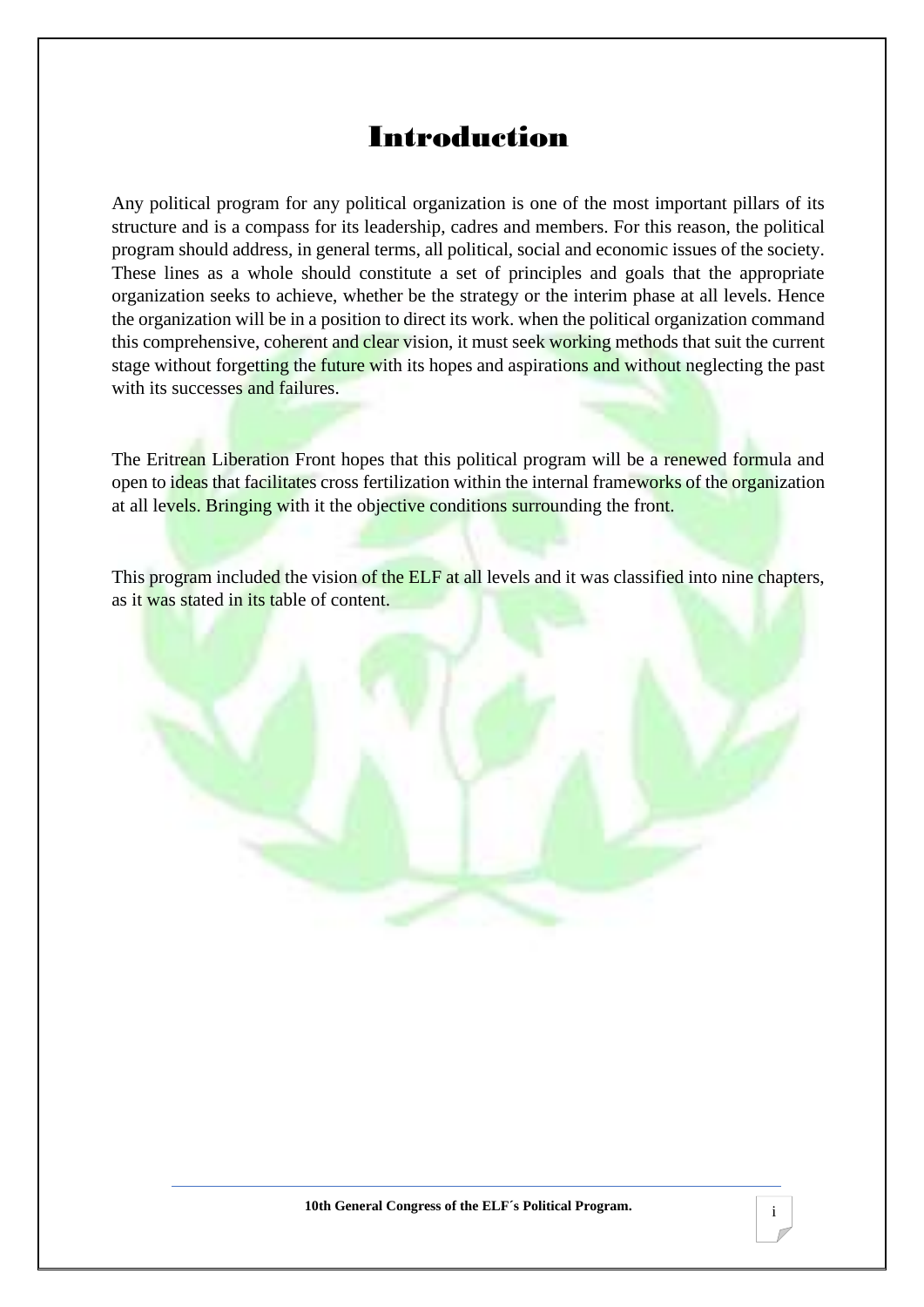# Introduction

<span id="page-2-0"></span>Any political program for any political organization is one of the most important pillars of its structure and is a compass for its leadership, cadres and members. For this reason, the political program should address, in general terms, all political, social and economic issues of the society. These lines as a whole should constitute a set of principles and goals that the appropriate organization seeks to achieve, whether be the strategy or the interim phase at all levels. Hence the organization will be in a position to direct its work. when the political organization command this comprehensive, coherent and clear vision, it must seek working methods that suit the current stage without forgetting the future with its hopes and aspirations and without neglecting the past with its successes and failures.

The Eritrean Liberation Front hopes that this political program will be a renewed formula and open to ideas that facilitates cross fertilization within the internal frameworks of the organization at all levels. Bringing with it the objective conditions surrounding the front.

This program included the vision of the ELF at all levels and it was classified into nine chapters, as it was stated in its table of content.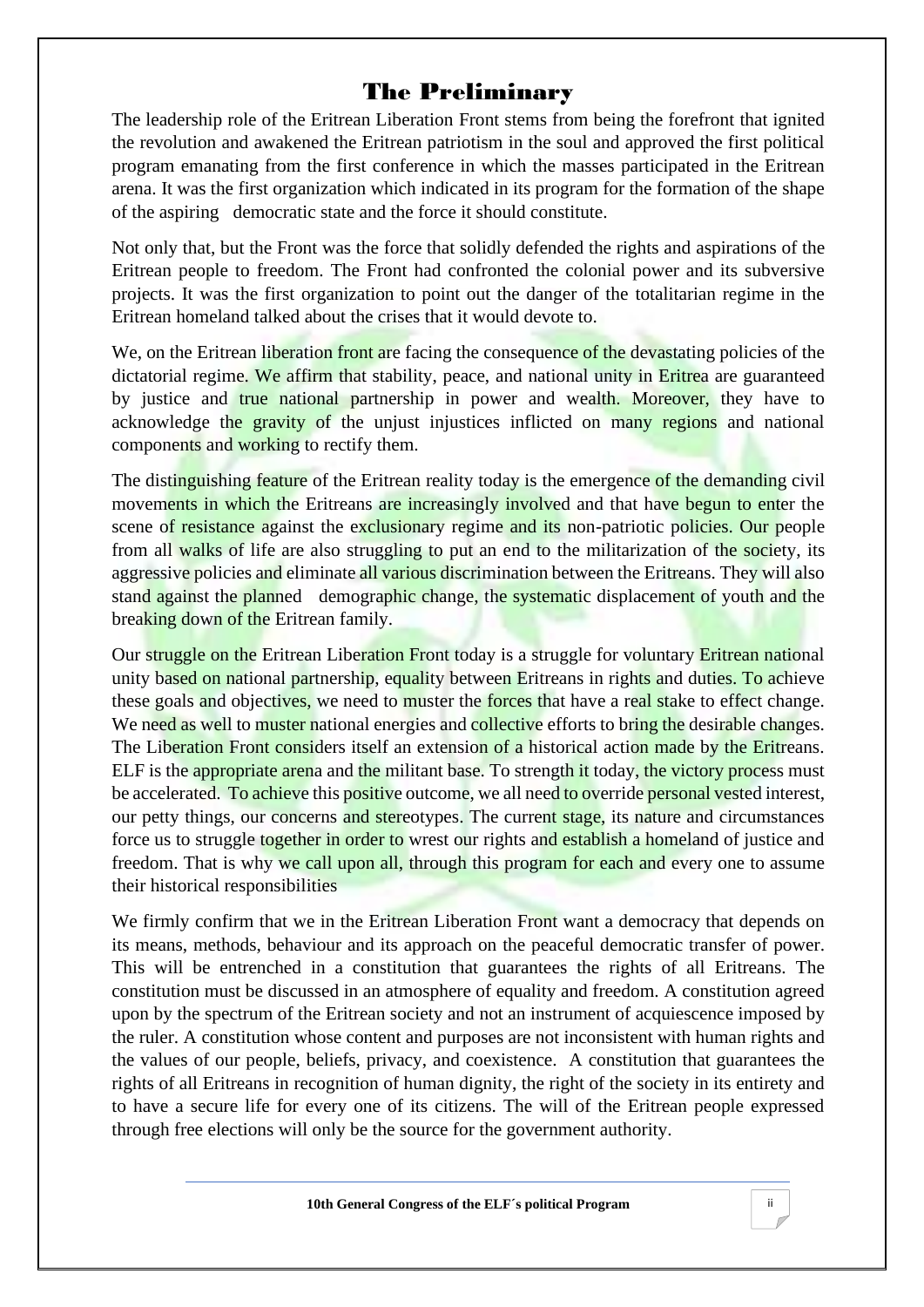# The Preliminary

<span id="page-3-0"></span>The leadership role of the Eritrean Liberation Front stems from being the forefront that ignited the revolution and awakened the Eritrean patriotism in the soul and approved the first political program emanating from the first conference in which the masses participated in the Eritrean arena. It was the first organization which indicated in its program for the formation of the shape of the aspiring democratic state and the force it should constitute.

Not only that, but the Front was the force that solidly defended the rights and aspirations of the Eritrean people to freedom. The Front had confronted the colonial power and its subversive projects. It was the first organization to point out the danger of the totalitarian regime in the Eritrean homeland talked about the crises that it would devote to.

We, on the Eritrean liberation front are facing the consequence of the devastating policies of the dictatorial regime. We affirm that stability, peace, and national unity in Eritrea are guaranteed by justice and true national partnership in power and wealth. Moreover, they have to acknowledge the gravity of the unjust injustices inflicted on many regions and national components and working to rectify them.

The distinguishing feature of the Eritrean reality today is the emergence of the demanding civil movements in which the Eritreans are increasingly involved and that have begun to enter the scene of resistance against the exclusionary regime and its non-patriotic policies. Our people from all walks of life are also struggling to put an end to the militarization of the society, its aggressive policies and eliminate all various discrimination between the Eritreans. They will also stand against the planned demographic change, the systematic displacement of youth and the breaking down of the Eritrean family.

Our struggle on the Eritrean Liberation Front today is a struggle for voluntary Eritrean national unity based on national partnership, equality between Eritreans in rights and duties. To achieve these goals and objectives, we need to muster the forces that have a real stake to effect change. We need as well to muster national energies and collective efforts to bring the desirable changes. The Liberation Front considers itself an extension of a historical action made by the Eritreans. ELF is the appropriate arena and the militant base. To strength it today, the victory process must be accelerated. To achieve this positive outcome, we all need to override personal vested interest, our petty things, our concerns and stereotypes. The current stage, its nature and circumstances force us to struggle together in order to wrest our rights and establish a homeland of justice and freedom. That is why we call upon all, through this program for each and every one to assume their historical responsibilities

We firmly confirm that we in the Eritrean Liberation Front want a democracy that depends on its means, methods, behaviour and its approach on the peaceful democratic transfer of power. This will be entrenched in a constitution that guarantees the rights of all Eritreans. The constitution must be discussed in an atmosphere of equality and freedom. A constitution agreed upon by the spectrum of the Eritrean society and not an instrument of acquiescence imposed by the ruler. A constitution whose content and purposes are not inconsistent with human rights and the values of our people, beliefs, privacy, and coexistence. A constitution that guarantees the rights of all Eritreans in recognition of human dignity, the right of the society in its entirety and to have a secure life for every one of its citizens. The will of the Eritrean people expressed through free elections will only be the source for the government authority.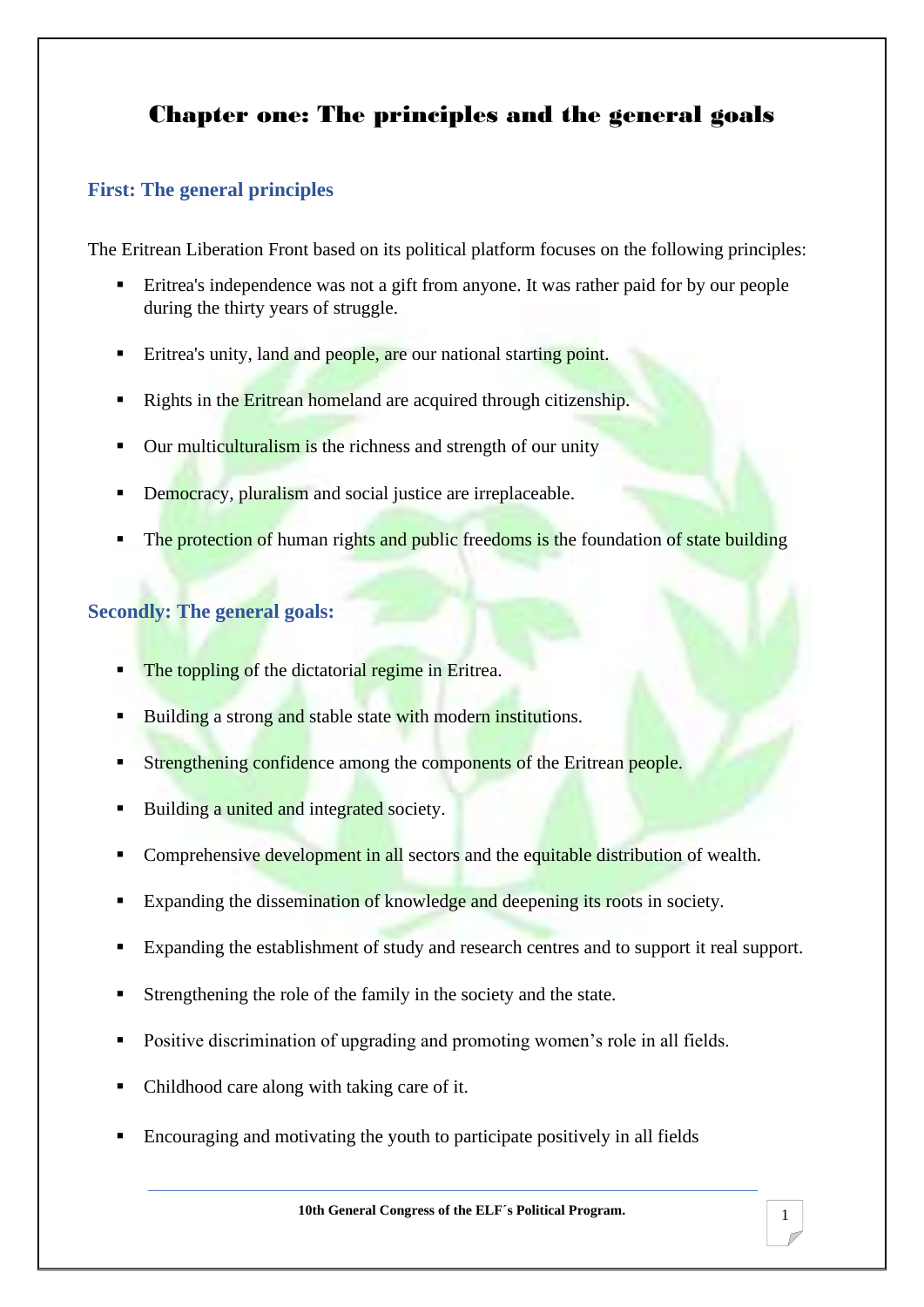# <span id="page-4-0"></span>Chapter one: The principles and the general goals

## **First: The general principles**

The Eritrean Liberation Front based on its political platform focuses on the following principles:

- Eritrea's independence was not a gift from anyone. It was rather paid for by our people during the thirty years of struggle.
- **Example 1** Eritrea's unity, land and people, are our national starting point.
- Rights in the Eritrean homeland are acquired through citizenship.
- Our multiculturalism is the richness and strength of our unity
- Democracy, pluralism and social justice are irreplaceable.
- The protection of human rights and public freedoms is the foundation of state building

## **Secondly: The general goals:**

- The toppling of the dictatorial regime in Eritrea.
- Building a strong and stable state with modern institutions.
- Strengthening confidence among the components of the Eritrean people.
- Building a united and integrated society.
- Comprehensive development in all sectors and the equitable distribution of wealth.
- Expanding the dissemination of knowledge and deepening its roots in society.
- Expanding the establishment of study and research centres and to support it real support.
- Strengthening the role of the family in the society and the state.
- Positive discrimination of upgrading and promoting women's role in all fields.
- Childhood care along with taking care of it.
- Encouraging and motivating the youth to participate positively in all fields

**10th General Congress of the ELF´s Political Program.**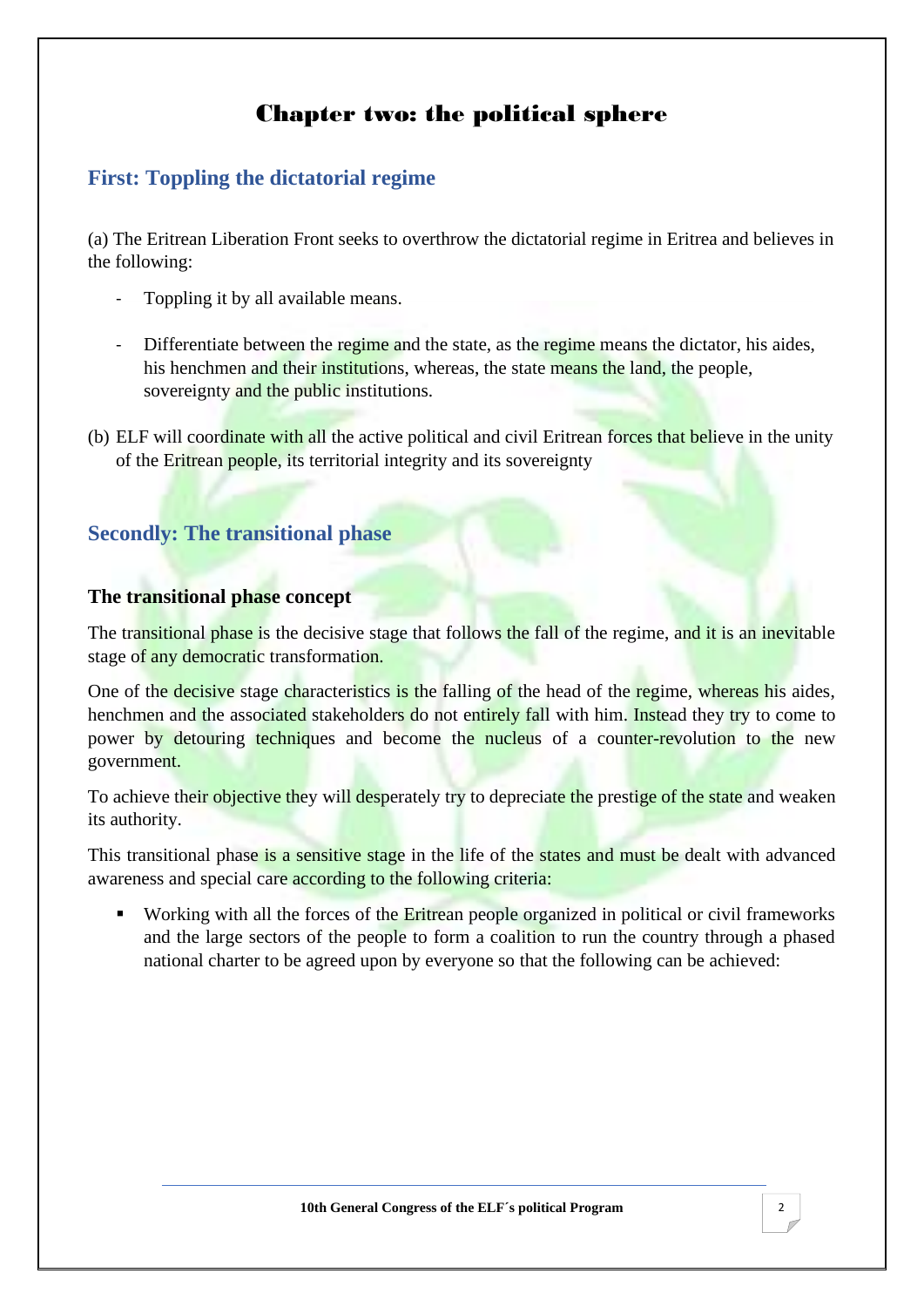# Chapter two: the political sphere

# <span id="page-5-0"></span>**First: Toppling the dictatorial regime**

(a) The Eritrean Liberation Front seeks to overthrow the dictatorial regime in Eritrea and believes in the following:

- Toppling it by all available means.
- Differentiate between the regime and the state, as the regime means the dictator, his aides, his henchmen and their institutions, whereas, the state means the land, the people, sovereignty and the public institutions.
- (b) ELF will coordinate with all the active political and civil Eritrean forces that believe in the unity of the Eritrean people, its territorial integrity and its sovereignty

## **Secondly: The transitional phase**

#### **The transitional phase concept**

The transitional phase is the decisive stage that follows the fall of the regime, and it is an inevitable stage of any democratic transformation.

One of the decisive stage characteristics is the falling of the head of the regime, whereas his aides, henchmen and the associated stakeholders do not entirely fall with him. Instead they try to come to power by detouring techniques and become the nucleus of a counter-revolution to the new government.

To achieve their objective they will desperately try to depreciate the prestige of the state and weaken its authority.

This transitional phase is a sensitive stage in the life of the states and must be dealt with advanced awareness and special care according to the following criteria:

■ Working with all the forces of the Eritrean people organized in political or civil frameworks and the large sectors of the people to form a coalition to run the country through a phased national charter to be agreed upon by everyone so that the following can be achieved: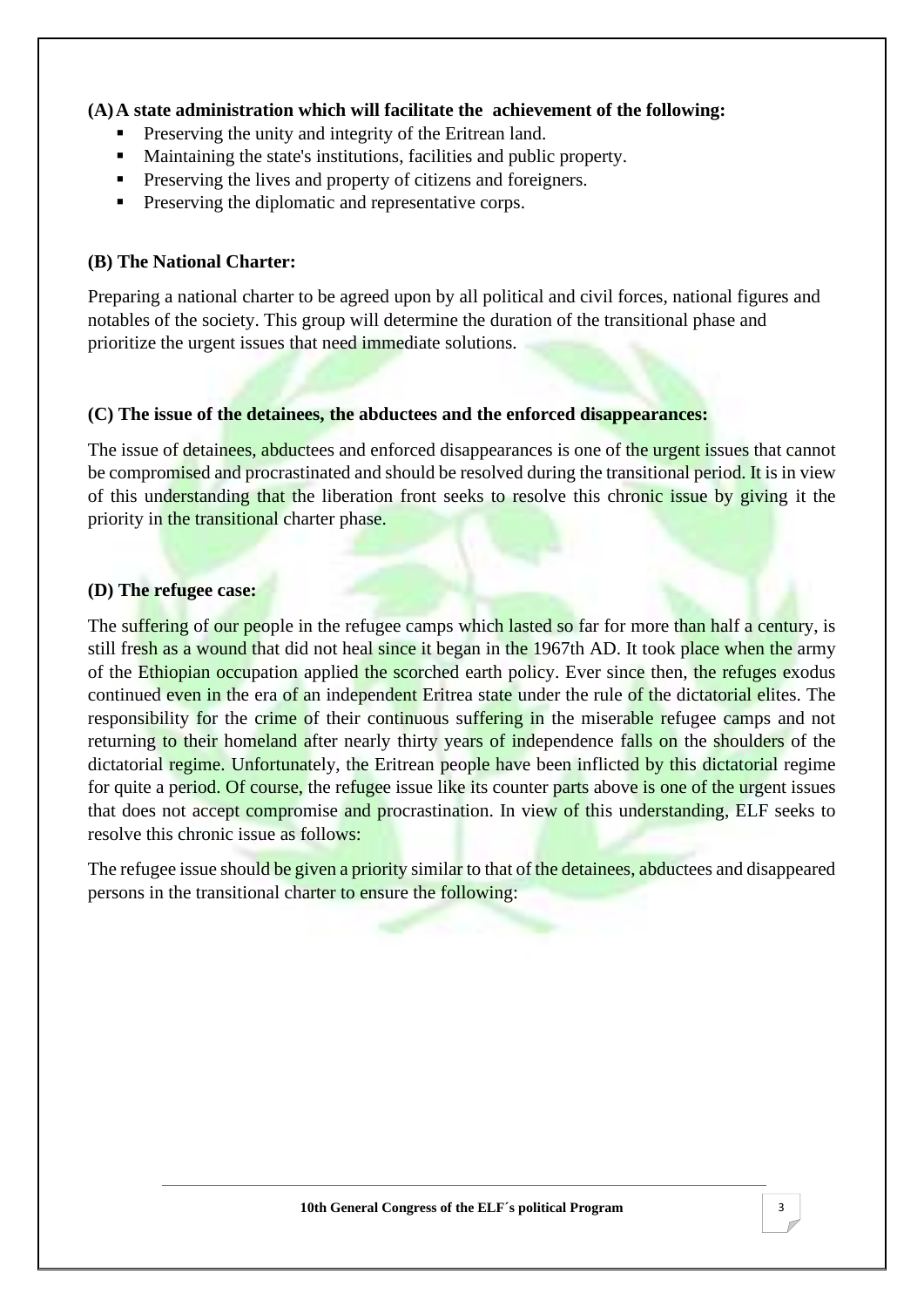#### **(A)A state administration which will facilitate the achievement of the following:**

- Preserving the unity and integrity of the Eritrean land.
- Maintaining the state's institutions, facilities and public property.
- **•** Preserving the lives and property of citizens and foreigners.
- Preserving the diplomatic and representative corps.

#### **(B) The National Charter:**

Preparing a national charter to be agreed upon by all political and civil forces, national figures and notables of the society. This group will determine the duration of the transitional phase and prioritize the urgent issues that need immediate solutions.

#### **(C) The issue of the detainees, the abductees and the enforced disappearances:**

The issue of detainees, abductees and enforced disappearances is one of the urgent issues that cannot be compromised and procrastinated and should be resolved during the transitional period. It is in view of this understanding that the liberation front seeks to resolve this chronic issue by giving it the priority in the transitional charter phase.

#### **(D) The refugee case:**

The suffering of our people in the refugee camps which lasted so far for more than half a century, is still fresh as a wound that did not heal since it began in the 1967th AD. It took place when the army of the Ethiopian occupation applied the scorched earth policy. Ever since then, the refuges exodus continued even in the era of an independent Eritrea state under the rule of the dictatorial elites. The responsibility for the crime of their continuous suffering in the miserable refugee camps and not returning to their homeland after nearly thirty years of independence falls on the shoulders of the dictatorial regime. Unfortunately, the Eritrean people have been inflicted by this dictatorial regime for quite a period. Of course, the refugee issue like its counter parts above is one of the urgent issues that does not accept compromise and procrastination. In view of this understanding, ELF seeks to resolve this chronic issue as follows:

The refugee issue should be given a priority similar to that of the detainees, abductees and disappeared persons in the transitional charter to ensure the following: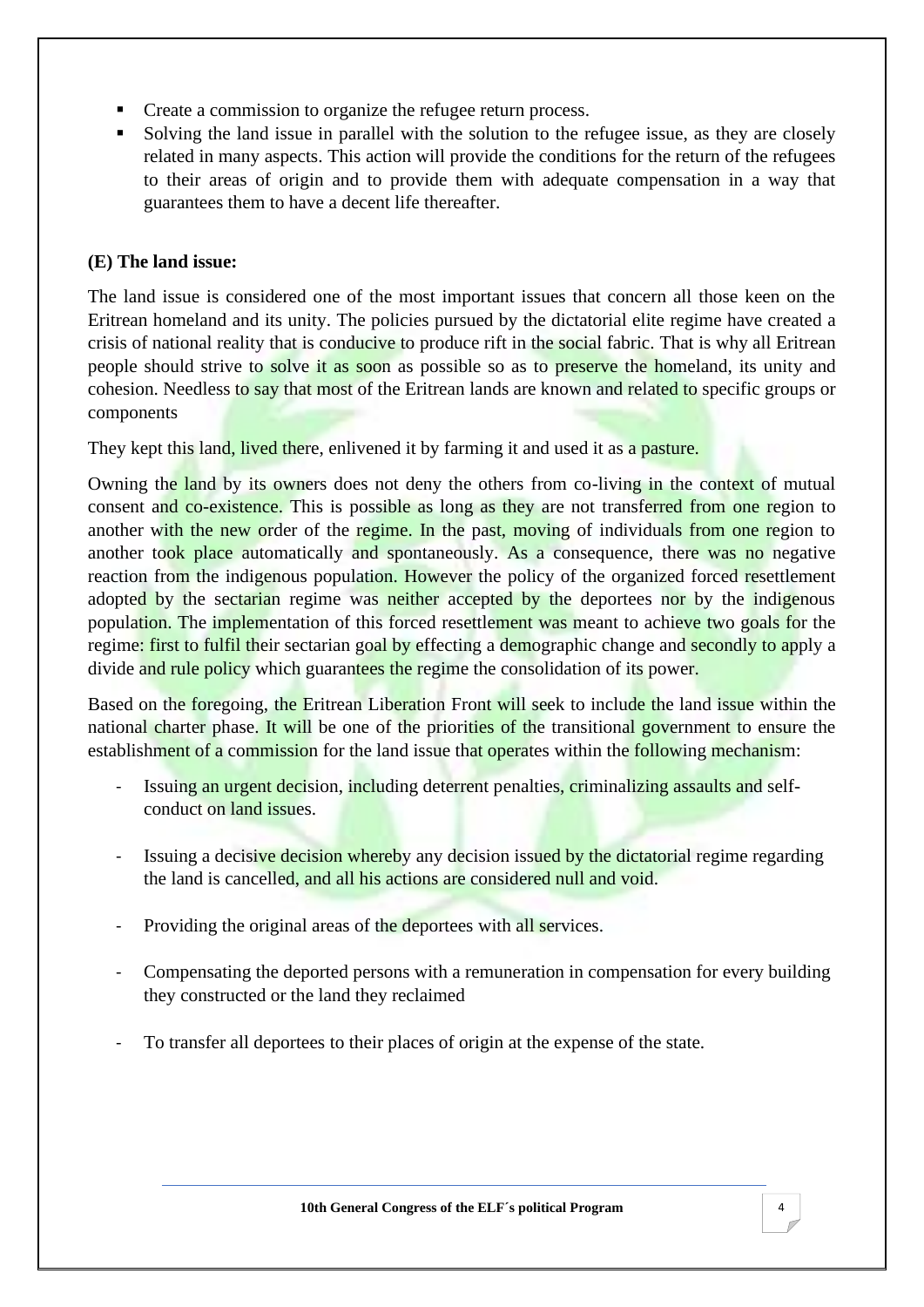- Create a commission to organize the refugee return process.
- Solving the land issue in parallel with the solution to the refugee issue, as they are closely related in many aspects. This action will provide the conditions for the return of the refugees to their areas of origin and to provide them with adequate compensation in a way that guarantees them to have a decent life thereafter.

#### **(E) The land issue:**

The land issue is considered one of the most important issues that concern all those keen on the Eritrean homeland and its unity. The policies pursued by the dictatorial elite regime have created a crisis of national reality that is conducive to produce rift in the social fabric. That is why all Eritrean people should strive to solve it as soon as possible so as to preserve the homeland, its unity and cohesion. Needless to say that most of the Eritrean lands are known and related to specific groups or components

They kept this land, lived there, enlivened it by farming it and used it as a pasture.

Owning the land by its owners does not deny the others from co-living in the context of mutual consent and co-existence. This is possible as long as they are not transferred from one region to another with the new order of the regime. In the past, moving of individuals from one region to another took place automatically and spontaneously. As a consequence, there was no negative reaction from the indigenous population. However the policy of the organized forced resettlement adopted by the sectarian regime was neither accepted by the deportees nor by the indigenous population. The implementation of this forced resettlement was meant to achieve two goals for the regime: first to fulfil their sectarian goal by effecting a demographic change and secondly to apply a divide and rule policy which guarantees the regime the consolidation of its power.

Based on the foregoing, the Eritrean Liberation Front will seek to include the land issue within the national charter phase. It will be one of the priorities of the transitional government to ensure the establishment of a commission for the land issue that operates within the following mechanism:

- Issuing an urgent decision, including deterrent penalties, criminalizing assaults and selfconduct on land issues.
- Issuing a decisive decision whereby any decision issued by the dictatorial regime regarding the land is cancelled, and all his actions are considered null and void.
- Providing the original areas of the deportees with all services.
- Compensating the deported persons with a remuneration in compensation for every building they constructed or the land they reclaimed
- To transfer all deportees to their places of origin at the expense of the state.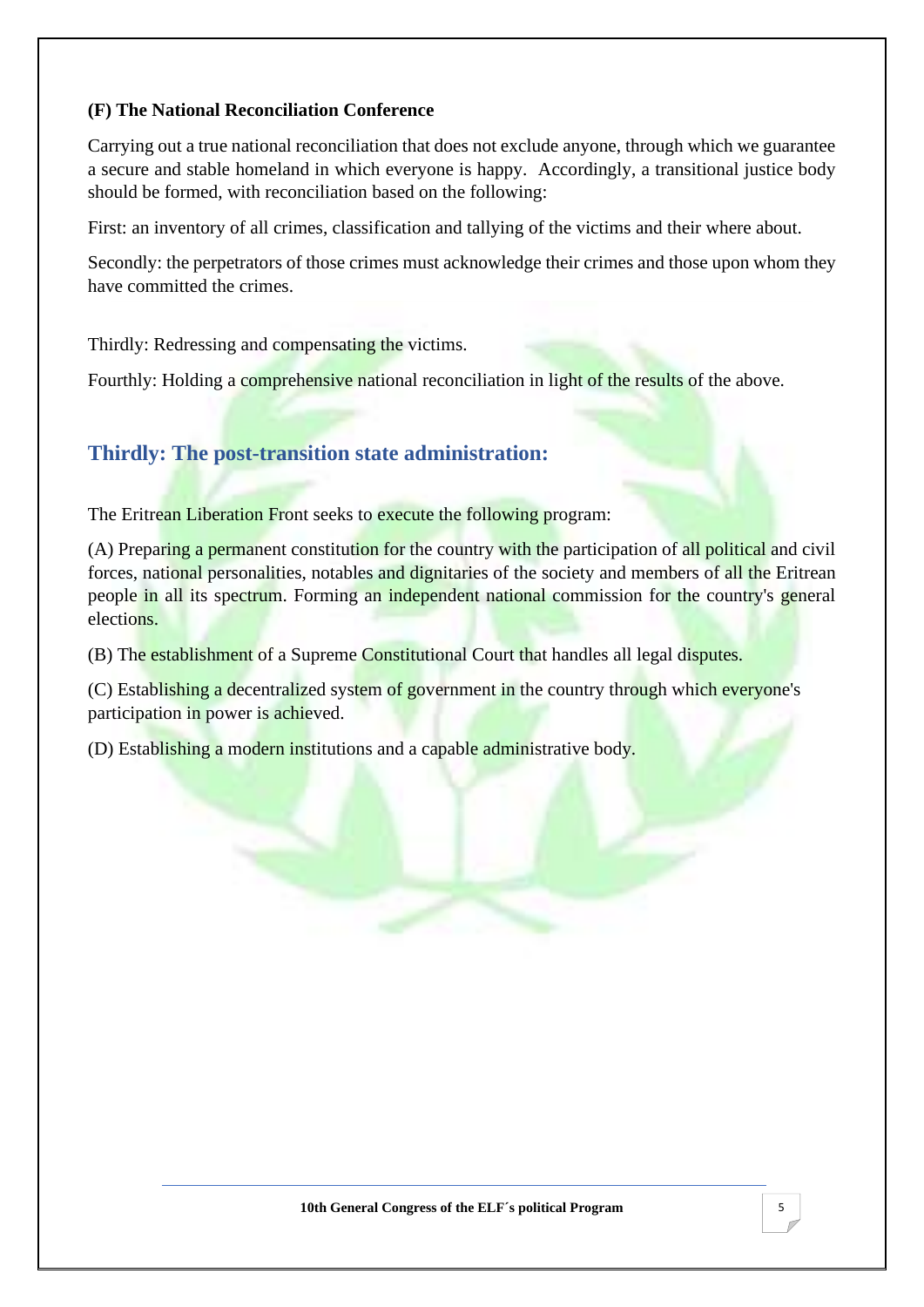#### **(F) The National Reconciliation Conference**

Carrying out a true national reconciliation that does not exclude anyone, through which we guarantee a secure and stable homeland in which everyone is happy. Accordingly, a transitional justice body should be formed, with reconciliation based on the following:

First: an inventory of all crimes, classification and tallying of the victims and their where about.

Secondly: the perpetrators of those crimes must acknowledge their crimes and those upon whom they have committed the crimes.

Thirdly: Redressing and compensating the victims.

Fourthly: Holding a comprehensive national reconciliation in light of the results of the above.

# **Thirdly: The post-transition state administration:**

The Eritrean Liberation Front seeks to execute the following program:

(A) Preparing a permanent constitution for the country with the participation of all political and civil forces, national personalities, notables and dignitaries of the society and members of all the Eritrean people in all its spectrum. Forming an independent national commission for the country's general elections.

(B) The establishment of a Supreme Constitutional Court that handles all legal disputes.

(C) Establishing a decentralized system of government in the country through which everyone's participation in power is achieved.

(D) Establishing a modern institutions and a capable administrative body.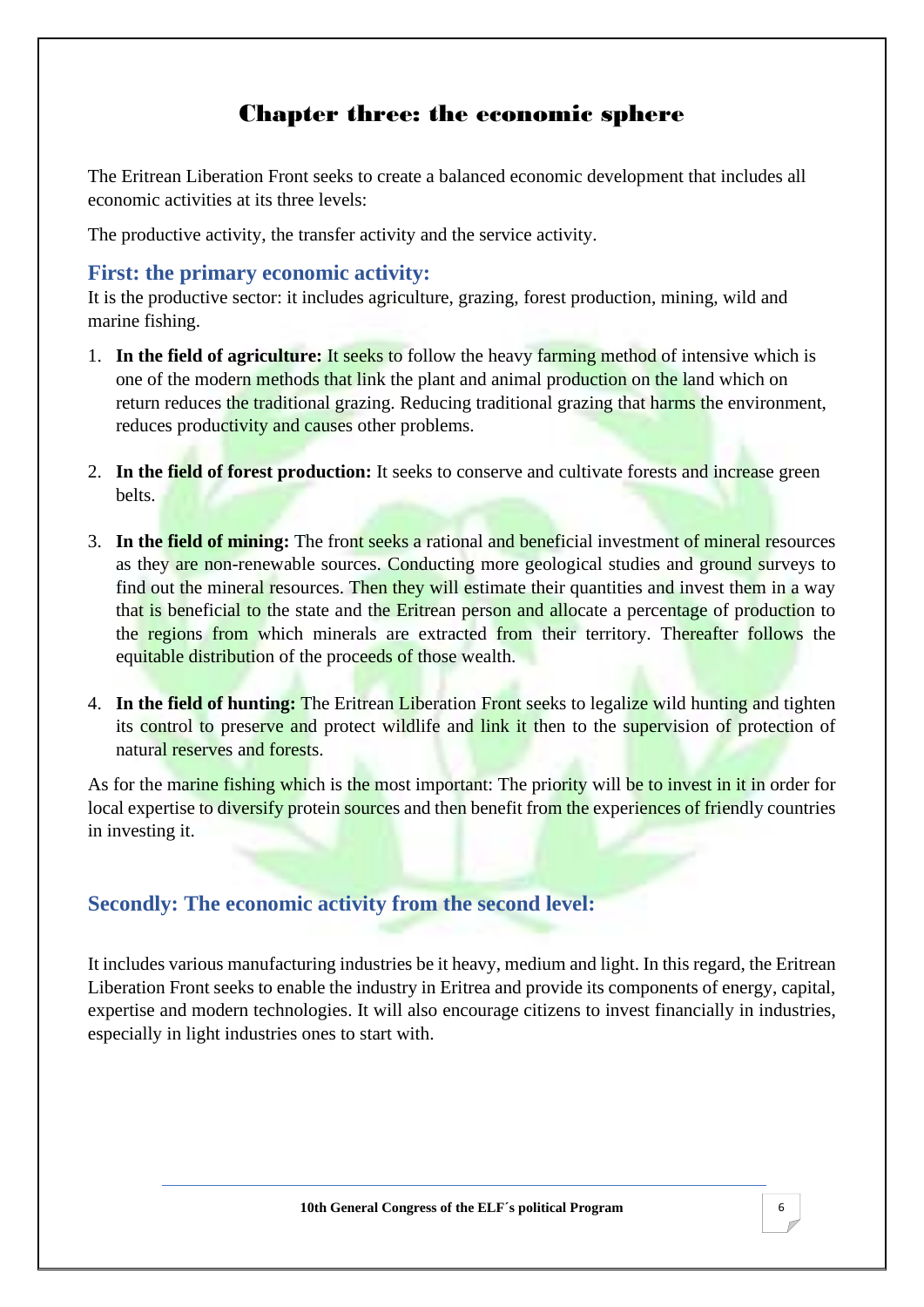# Chapter three: the economic sphere

<span id="page-9-0"></span>The Eritrean Liberation Front seeks to create a balanced economic development that includes all economic activities at its three levels:

The productive activity, the transfer activity and the service activity.

#### **First: the primary economic activity:**

It is the productive sector: it includes agriculture, grazing, forest production, mining, wild and marine fishing.

- 1. **In the field of agriculture:** It seeks to follow the heavy farming method of intensive which is one of the modern methods that link the plant and animal production on the land which on return reduces the traditional grazing. Reducing traditional grazing that harms the environment, reduces productivity and causes other problems.
- 2. **In the field of forest production:** It seeks to conserve and cultivate forests and increase green belts.
- 3. **In the field of mining:** The front seeks a rational and beneficial investment of mineral resources as they are non-renewable sources. Conducting more geological studies and ground surveys to find out the mineral resources. Then they will estimate their quantities and invest them in a way that is beneficial to the state and the Eritrean person and allocate a percentage of production to the regions from which minerals are extracted from their territory. Thereafter follows the equitable distribution of the proceeds of those wealth.
- 4. **In the field of hunting:** The Eritrean Liberation Front seeks to legalize wild hunting and tighten its control to preserve and protect wildlife and link it then to the supervision of protection of natural reserves and forests.

As for the marine fishing which is the most important: The priority will be to invest in it in order for local expertise to diversify protein sources and then benefit from the experiences of friendly countries in investing it.

## **Secondly: The economic activity from the second level:**

It includes various manufacturing industries be it heavy, medium and light. In this regard, the Eritrean Liberation Front seeks to enable the industry in Eritrea and provide its components of energy, capital, expertise and modern technologies. It will also encourage citizens to invest financially in industries, especially in light industries ones to start with.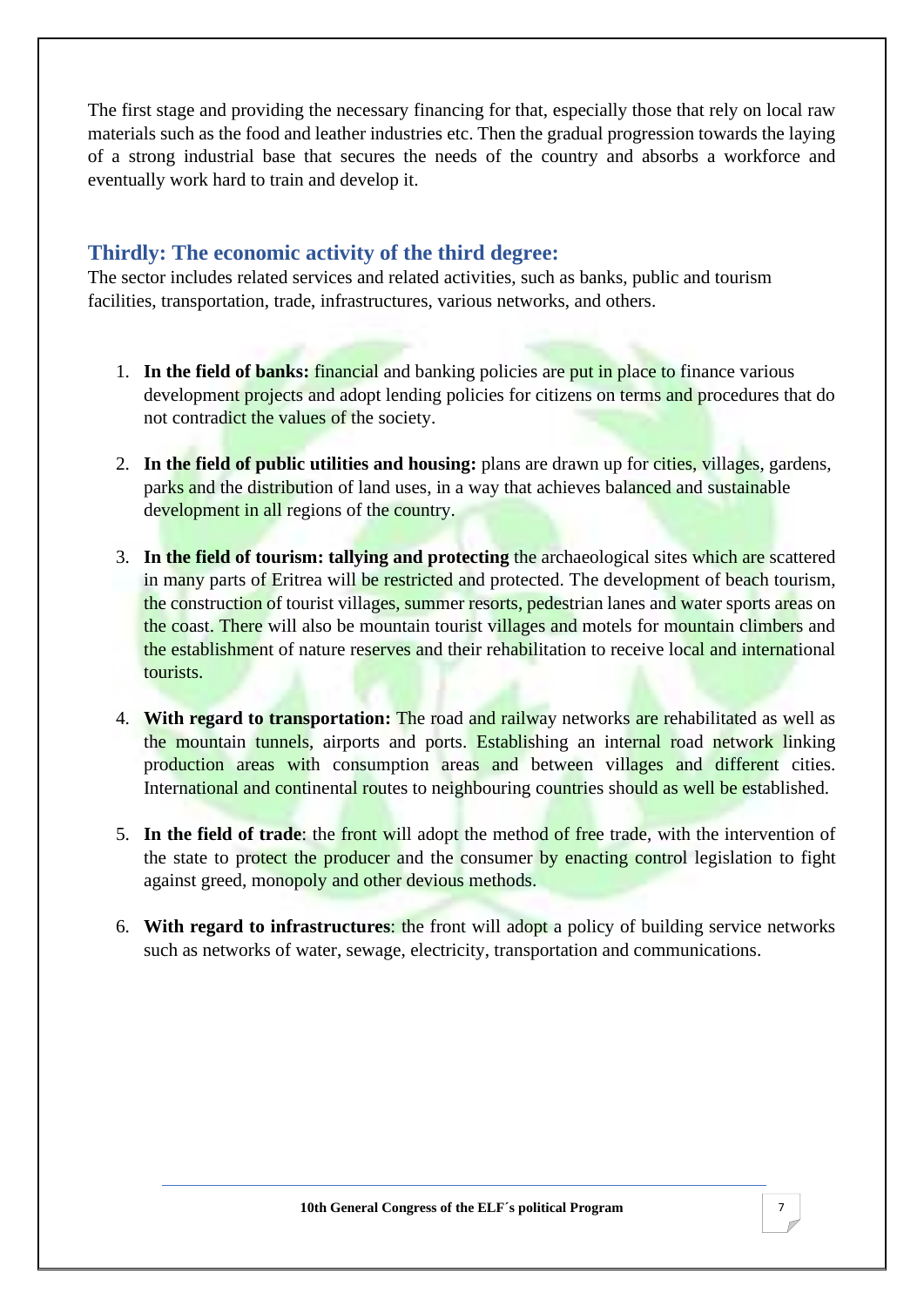The first stage and providing the necessary financing for that, especially those that rely on local raw materials such as the food and leather industries etc. Then the gradual progression towards the laying of a strong industrial base that secures the needs of the country and absorbs a workforce and eventually work hard to train and develop it.

## **Thirdly: The economic activity of the third degree:**

The sector includes related services and related activities, such as banks, public and tourism facilities, transportation, trade, infrastructures, various networks, and others.

- 1. **In the field of banks:** financial and banking policies are put in place to finance various development projects and adopt lending policies for citizens on terms and procedures that do not contradict the values of the society.
- 2. **In the field of public utilities and housing:** plans are drawn up for cities, villages, gardens, parks and the distribution of land uses, in a way that achieves balanced and sustainable development in all regions of the country.
- 3. **In the field of tourism: tallying and protecting** the archaeological sites which are scattered in many parts of Eritrea will be restricted and protected. The development of beach tourism, the construction of tourist villages, summer resorts, pedestrian lanes and water sports areas on the coast. There will also be mountain tourist villages and motels for mountain climbers and the establishment of nature reserves and their rehabilitation to receive local and international tourists.
- 4. **With regard to transportation:** The road and railway networks are rehabilitated as well as the mountain tunnels, airports and ports. Establishing an internal road network linking production areas with consumption areas and between villages and different cities. International and continental routes to neighbouring countries should as well be established.
- 5. **In the field of trade**: the front will adopt the method of free trade, with the intervention of the state to protect the producer and the consumer by enacting control legislation to fight against greed, monopoly and other devious methods.
- 6. **With regard to infrastructures**: the front will adopt a policy of building service networks such as networks of water, sewage, electricity, transportation and communications.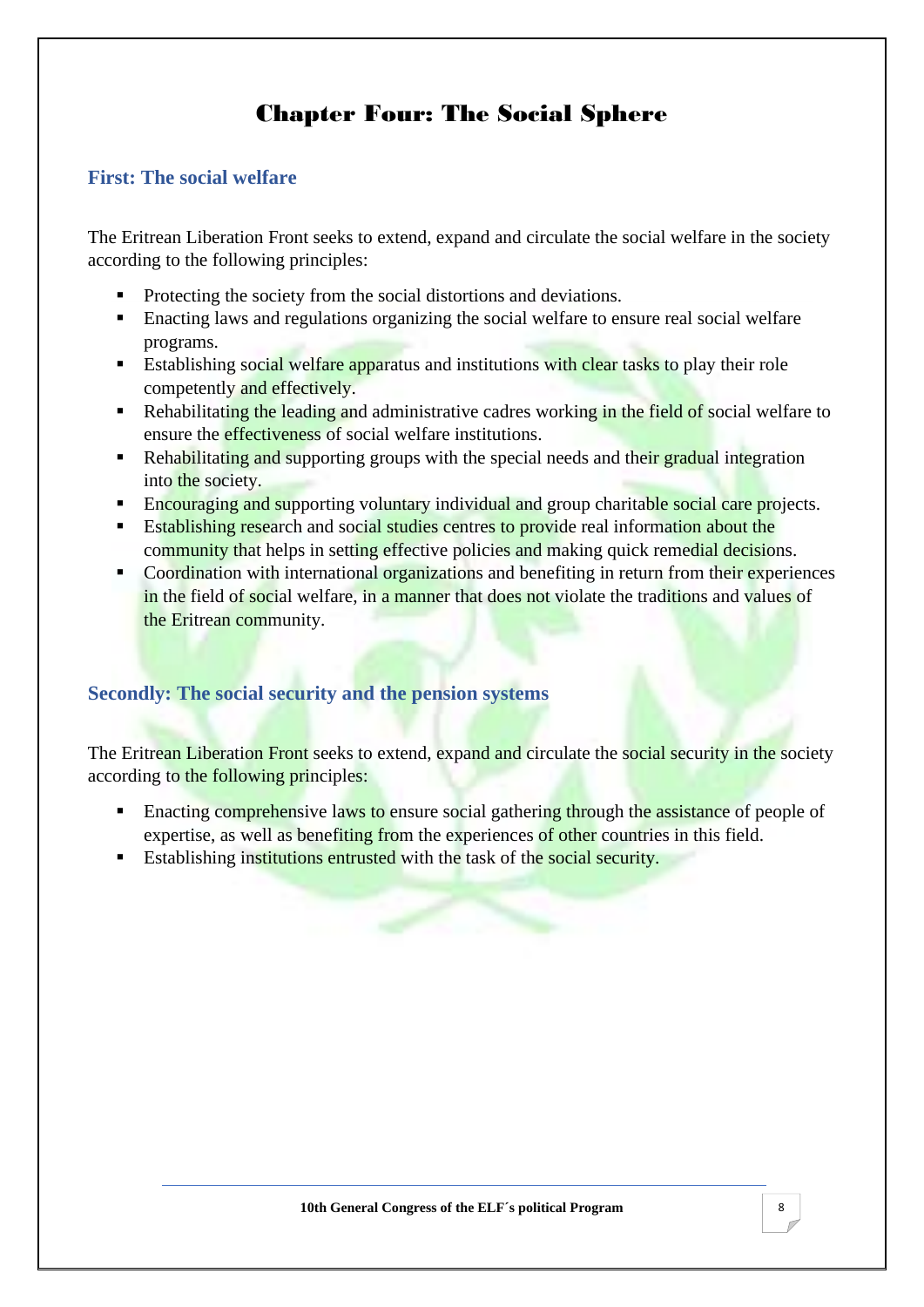# Chapter Four: The Social Sphere

#### <span id="page-11-0"></span>**First: The social welfare**

The Eritrean Liberation Front seeks to extend, expand and circulate the social welfare in the society according to the following principles:

- Protecting the society from the social distortions and deviations.
- Enacting laws and regulations organizing the social welfare to ensure real social welfare programs.
- Establishing social welfare apparatus and institutions with clear tasks to play their role competently and effectively.
- **EXECUTE:** Rehabilitating the leading and administrative cadres working in the field of social welfare to ensure the effectiveness of social welfare institutions.
- Rehabilitating and supporting groups with the special needs and their gradual integration into the society.
- Encouraging and supporting voluntary individual and group charitable social care projects.
- Establishing research and social studies centres to provide real information about the community that helps in setting effective policies and making quick remedial decisions.
- Coordination with international organizations and benefiting in return from their experiences in the field of social welfare, in a manner that does not violate the traditions and values of the Eritrean community.

#### **Secondly: The social security and the pension systems**

The Eritrean Liberation Front seeks to extend, expand and circulate the social security in the society according to the following principles:

- **Enacting comprehensive laws to ensure social gathering through the assistance of people of** expertise, as well as benefiting from the experiences of other countries in this field.
- **Establishing institutions entrusted with the task of the social security.**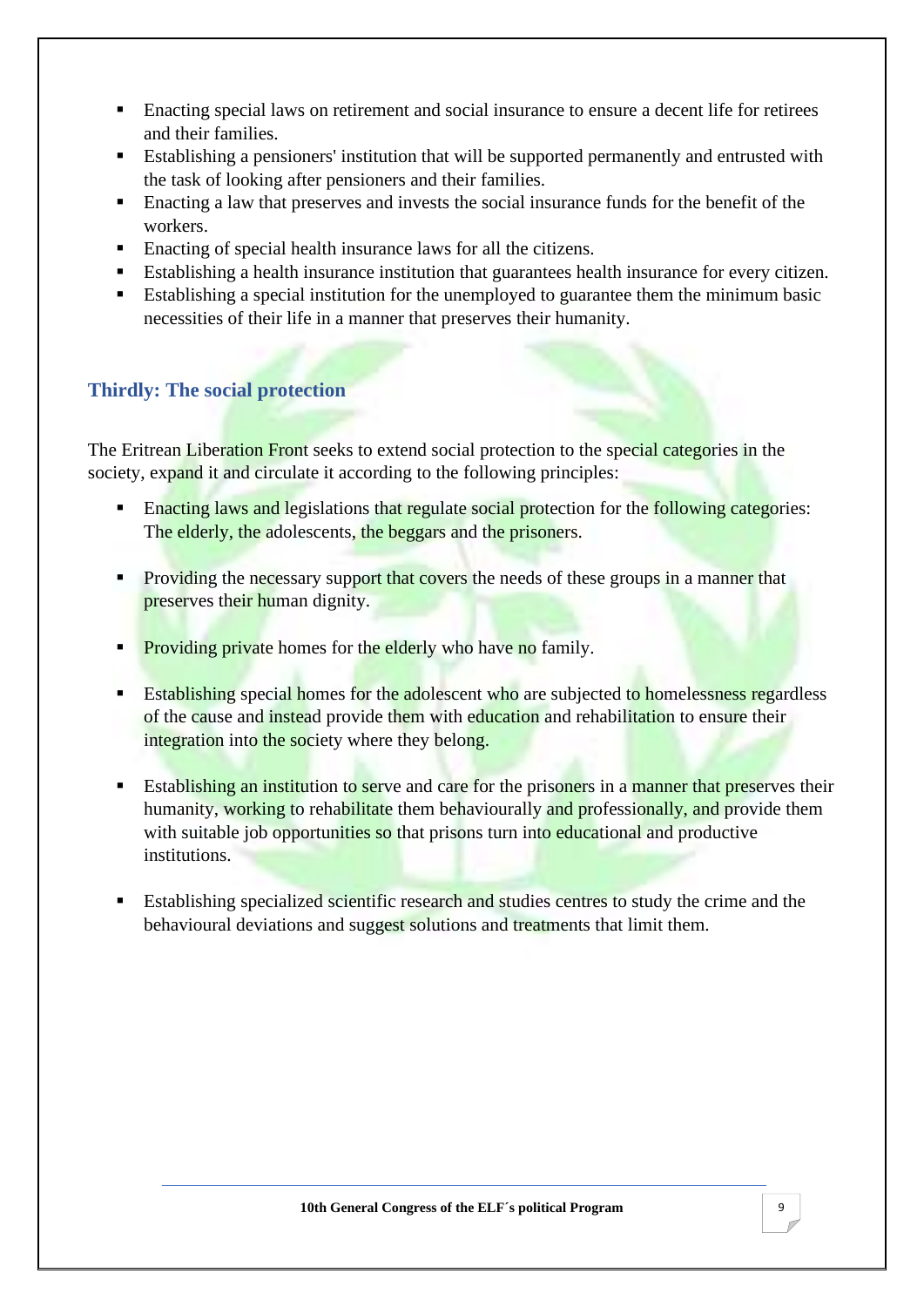- Enacting special laws on retirement and social insurance to ensure a decent life for retirees and their families.
- Establishing a pensioners' institution that will be supported permanently and entrusted with the task of looking after pensioners and their families.
- Enacting a law that preserves and invests the social insurance funds for the benefit of the workers.
- Enacting of special health insurance laws for all the citizens.
- Establishing a health insurance institution that guarantees health insurance for every citizen.
- Establishing a special institution for the unemployed to guarantee them the minimum basic necessities of their life in a manner that preserves their humanity.

## **Thirdly: The social protection**

The Eritrean Liberation Front seeks to extend social protection to the special categories in the society, expand it and circulate it according to the following principles:

- Enacting laws and legislations that regulate social protection for the following categories: The elderly, the adolescents, the beggars and the prisoners.
- **Providing the necessary support that covers the needs of these groups in a manner that** preserves their human dignity.
- **Providing private** homes for the elderly who have no family.
- Establishing special homes for the adolescent who are subjected to homelessness regardless of the cause and instead provide them with education and rehabilitation to ensure their integration into the society where they belong.
- **Establishing an institution to serve and care for the prisoners in a manner that preserves their** humanity, working to rehabilitate them behaviourally and professionally, and provide them with suitable job opportunities so that prisons turn into educational and productive institutions.
- Establishing specialized scientific research and studies centres to study the crime and the behavioural deviations and suggest solutions and treatments that limit them.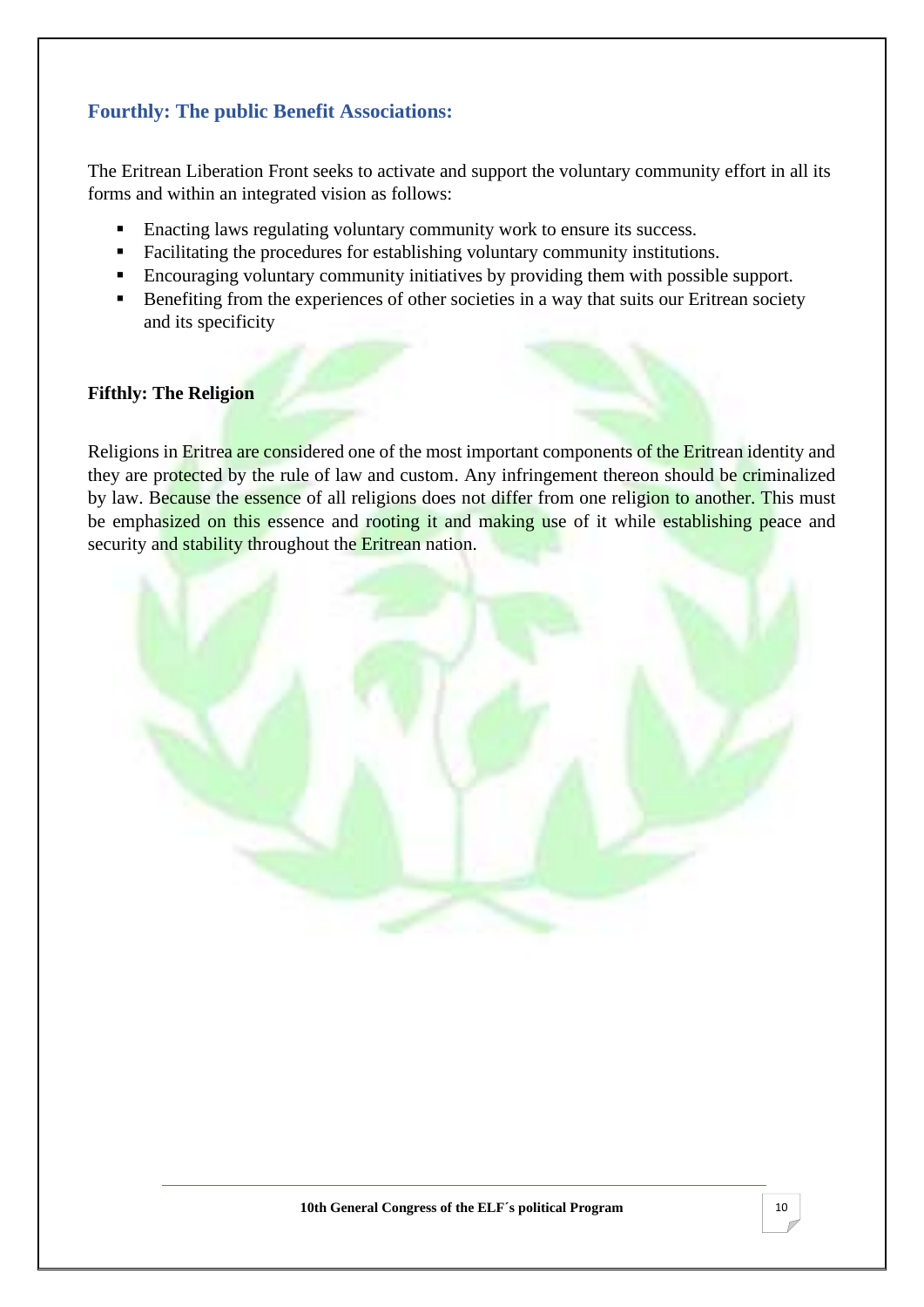## **Fourthly: The public Benefit Associations:**

The Eritrean Liberation Front seeks to activate and support the voluntary community effort in all its forms and within an integrated vision as follows:

- Enacting laws regulating voluntary community work to ensure its success.
- Facilitating the procedures for establishing voluntary community institutions.
- **Encouraging voluntary community initiatives by providing them with possible support.**
- Benefiting from the experiences of other societies in a way that suits our Eritrean society and its specificity

#### **Fifthly: The Religion**

Religions in Eritrea are considered one of the most important components of the Eritrean identity and they are protected by the rule of law and custom. Any infringement thereon should be criminalized by law. Because the essence of all religions does not differ from one religion to another. This must be emphasized on this essence and rooting it and making use of it while establishing peace and security and stability throughout the Eritrean nation.

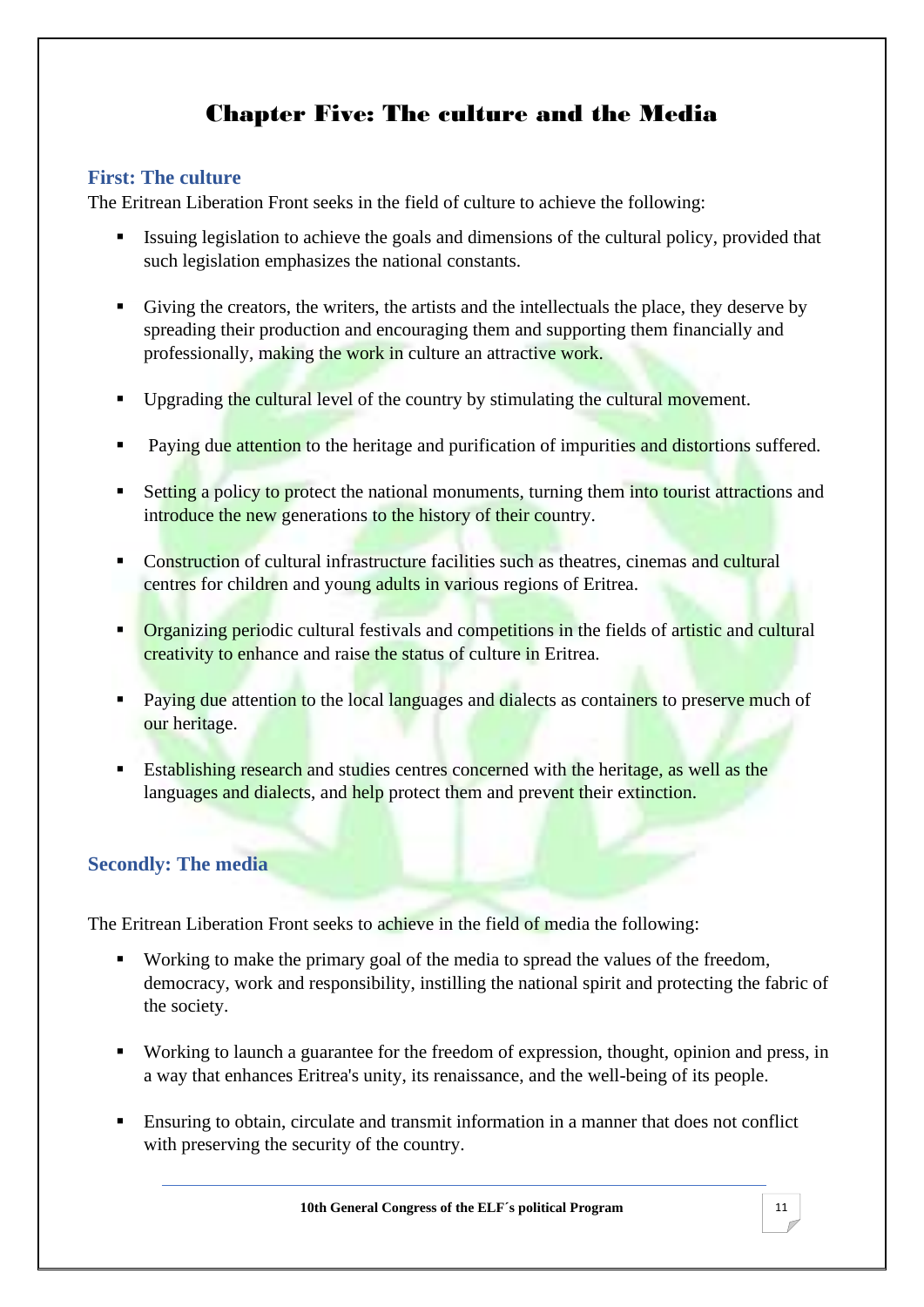# Chapter Five: The culture and the Media

## <span id="page-14-0"></span>**First: The culture**

The Eritrean Liberation Front seeks in the field of culture to achieve the following:

- Issuing legislation to achieve the goals and dimensions of the cultural policy, provided that such legislation emphasizes the national constants.
- Giving the creators, the writers, the artists and the intellectuals the place, they deserve by spreading their production and encouraging them and supporting them financially and professionally, making the work in culture an attractive work.
- **•** Upgrading the cultural level of the country by stimulating the cultural movement.
- Paying due attention to the heritage and purification of impurities and distortions suffered.
- **Example 1** Setting a policy to protect the national monuments, turning them into tourist attractions and introduce the new generations to the history of their country.
- Construction of cultural infrastructure facilities such as theatres, cinemas and cultural centres for children and young adults in various regions of Eritrea.
- **Organizing periodic cultural festivals and competitions in the fields of artistic and cultural** creativity to enhance and raise the status of culture in Eritrea.
- Paying due attention to the local languages and dialects as containers to preserve much of our heritage.
- **Establishing research and studies centres concerned with the heritage, as well as the** languages and dialects, and help protect them and prevent their extinction.

## **Secondly: The media**

The Eritrean Liberation Front seeks to achieve in the field of media the following:

- Working to make the primary goal of the media to spread the values of the freedom, democracy, work and responsibility, instilling the national spirit and protecting the fabric of the society.
- Working to launch a guarantee for the freedom of expression, thought, opinion and press, in a way that enhances Eritrea's unity, its renaissance, and the well-being of its people.
- Ensuring to obtain, circulate and transmit information in a manner that does not conflict with preserving the security of the country.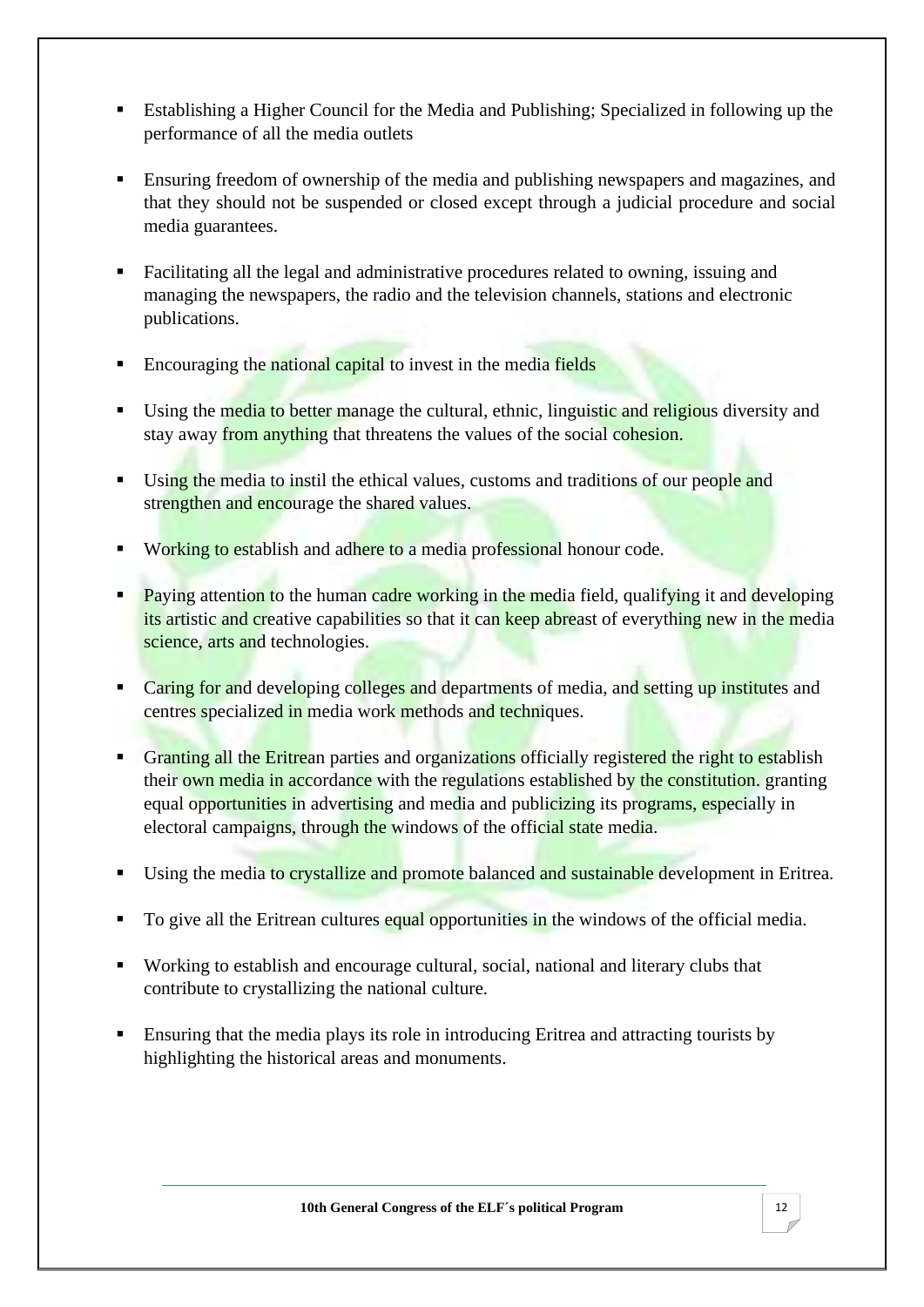- Establishing a Higher Council for the Media and Publishing; Specialized in following up the performance of all the media outlets
- Ensuring freedom of ownership of the media and publishing newspapers and magazines, and that they should not be suspended or closed except through a judicial procedure and social media guarantees.
- Facilitating all the legal and administrative procedures related to owning, issuing and managing the newspapers, the radio and the television channels, stations and electronic publications.
- **Encouraging the national capital to invest in the media fields**
- Using the media to better manage the cultural, ethnic, linguistic and religious diversity and stay away from anything that threatens the values of the social cohesion.
- Using the media to instil the ethical values, customs and traditions of our people and strengthen and encourage the shared values.
- Working to establish and adhere to a media professional honour code.
- **Paying attention to the human cadre working in the media field, qualifying it and developing** its artistic and creative capabilities so that it can keep abreast of everything new in the media science, arts and technologies.
- Caring for and developing colleges and departments of media, and setting up institutes and centres specialized in media work methods and techniques.
- **EXECUTE:** Granting all the Eritrean parties and organizations officially registered the right to establish their own media in accordance with the regulations established by the constitution. granting equal opportunities in advertising and media and publicizing its programs, especially in electoral campaigns, through the windows of the official state media.
- **EXECUTE:** Using the media to crystallize and promote balanced and sustainable development in Eritrea.
- To give all the Eritrean cultures equal opportunities in the windows of the official media.
- Working to establish and encourage cultural, social, national and literary clubs that contribute to crystallizing the national culture.
- **Ensuring that the media plays its role in introducing Eritrea and attracting tourists by** highlighting the historical areas and monuments.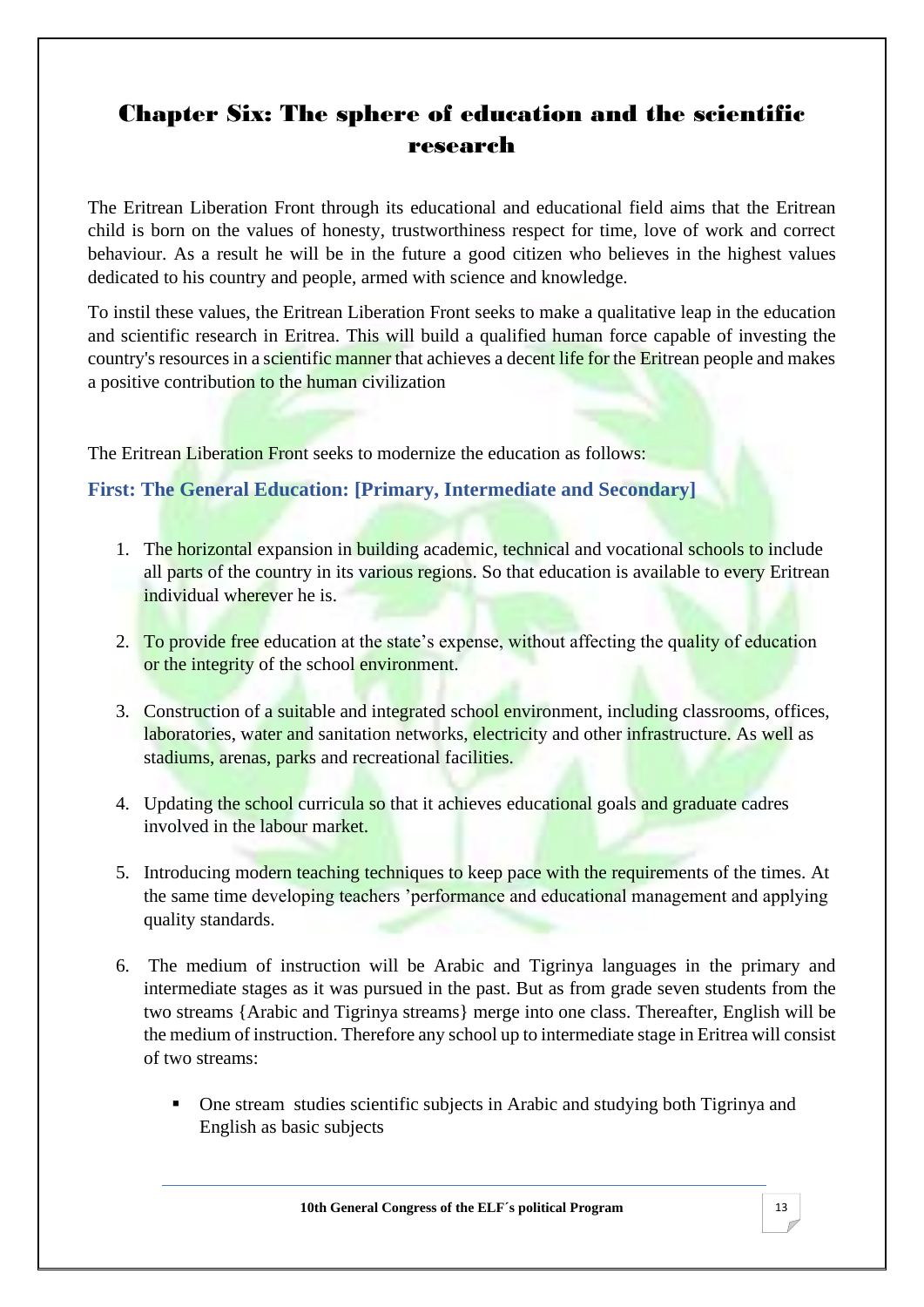# <span id="page-16-0"></span>Chapter Six: The sphere of education and the scientific research

The Eritrean Liberation Front through its educational and educational field aims that the Eritrean child is born on the values of honesty, trustworthiness respect for time, love of work and correct behaviour. As a result he will be in the future a good citizen who believes in the highest values dedicated to his country and people, armed with science and knowledge.

To instil these values, the Eritrean Liberation Front seeks to make a qualitative leap in the education and scientific research in Eritrea. This will build a qualified human force capable of investing the country's resources in a scientific manner that achieves a decent life for the Eritrean people and makes a positive contribution to the human civilization

The Eritrean Liberation Front seeks to modernize the education as follows:

#### **First: The General Education: [Primary, Intermediate and Secondary]**

- 1. The horizontal expansion in building academic, technical and vocational schools to include all parts of the country in its various regions. So that education is available to every Eritrean individual wherever he is.
- 2. To provide free education at the state's expense, without affecting the quality of education or the integrity of the school environment.
- 3. Construction of a suitable and integrated school environment, including classrooms, offices, laboratories, water and sanitation networks, electricity and other infrastructure. As well as stadiums, arenas, parks and recreational facilities.
- 4. Updating the school curricula so that it achieves educational goals and graduate cadres involved in the labour market.
- 5. Introducing modern teaching techniques to keep pace with the requirements of the times. At the same time developing teachers 'performance and educational management and applying quality standards.
- 6. The medium of instruction will be Arabic and Tigrinya languages in the primary and intermediate stages as it was pursued in the past. But as from grade seven students from the two streams {Arabic and Tigrinya streams} merge into one class. Thereafter, English will be the medium of instruction. Therefore any school up to intermediate stage in Eritrea will consist of two streams:
	- One stream studies scientific subjects in Arabic and studying both Tigrinya and English as basic subjects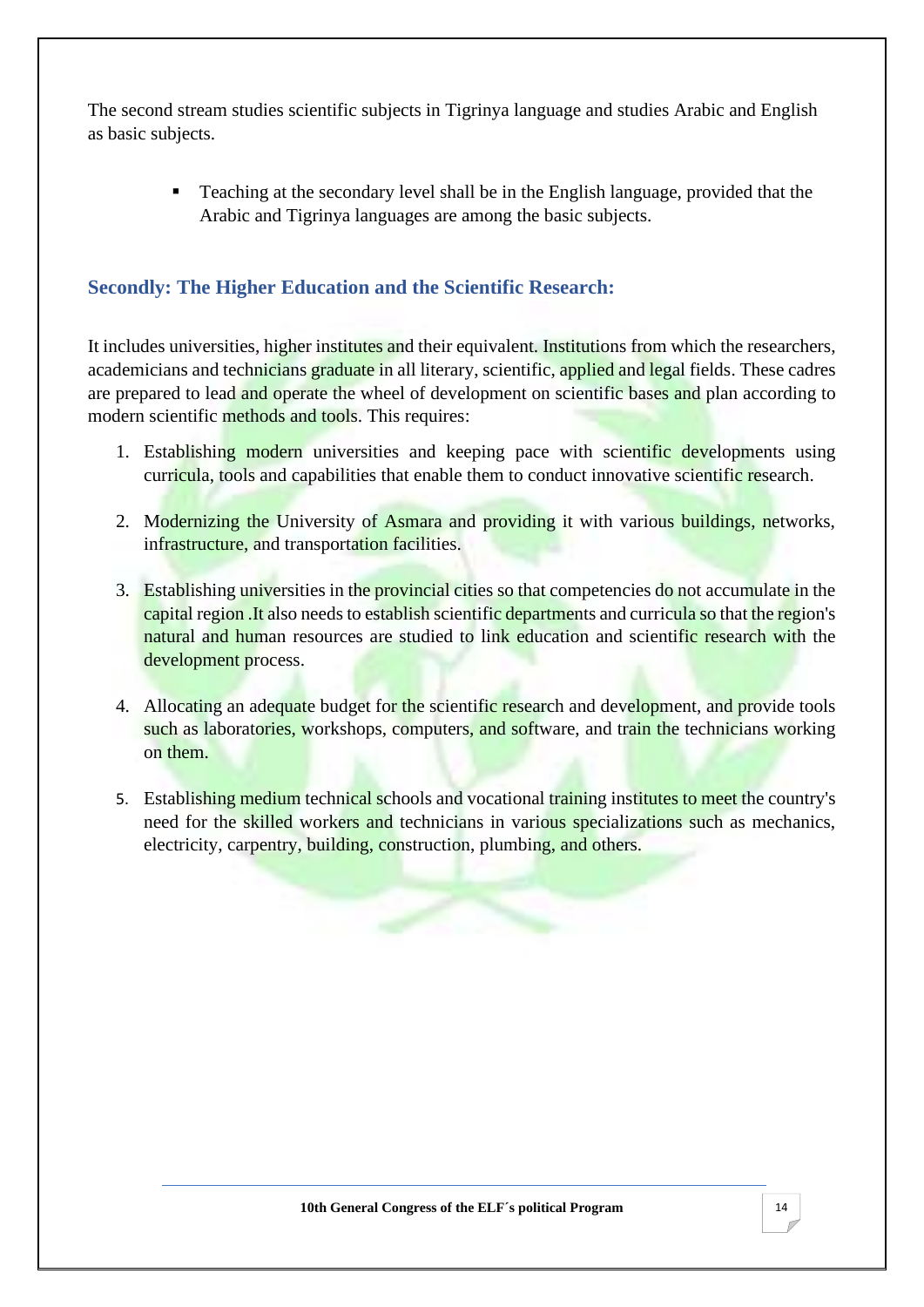The second stream studies scientific subjects in Tigrinya language and studies Arabic and English as basic subjects.

> ■ Teaching at the secondary level shall be in the English language, provided that the Arabic and Tigrinya languages are among the basic subjects.

## **Secondly: The Higher Education and the Scientific Research:**

It includes universities, higher institutes and their equivalent. Institutions from which the researchers, academicians and technicians graduate in all literary, scientific, applied and legal fields. These cadres are prepared to lead and operate the wheel of development on scientific bases and plan according to modern scientific methods and tools. This requires:

- 1. Establishing modern universities and keeping pace with scientific developments using curricula, tools and capabilities that enable them to conduct innovative scientific research.
- 2. Modernizing the University of Asmara and providing it with various buildings, networks, infrastructure, and transportation facilities.
- 3. Establishing universities in the provincial cities so that competencies do not accumulate in the capital region .It also needs to establish scientific departments and curricula so that the region's natural and human resources are studied to link education and scientific research with the development process.
- 4. Allocating an adequate budget for the scientific research and development, and provide tools such as laboratories, workshops, computers, and software, and train the technicians working on them.
- 5. Establishing medium technical schools and vocational training institutes to meet the country's need for the skilled workers and technicians in various specializations such as mechanics, electricity, carpentry, building, construction, plumbing, and others.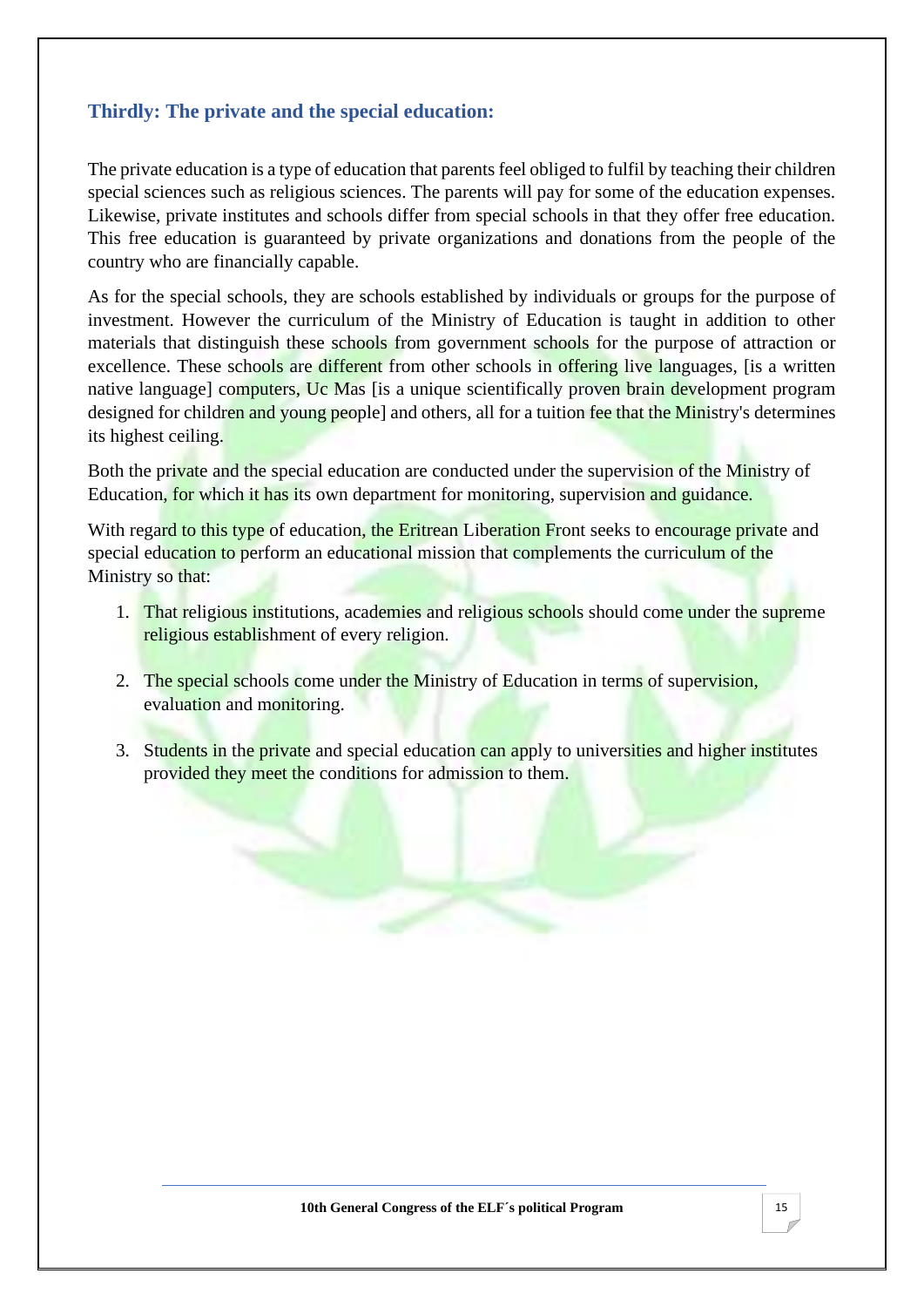#### **Thirdly: The private and the special education:**

The private education is a type of education that parents feel obliged to fulfil by teaching their children special sciences such as religious sciences. The parents will pay for some of the education expenses. Likewise, private institutes and schools differ from special schools in that they offer free education. This free education is guaranteed by private organizations and donations from the people of the country who are financially capable.

As for the special schools, they are schools established by individuals or groups for the purpose of investment. However the curriculum of the Ministry of Education is taught in addition to other materials that distinguish these schools from government schools for the purpose of attraction or excellence. These schools are different from other schools in offering live languages, [is a written native language] computers, Uc Mas [is a unique scientifically proven brain development program designed for children and young people] and others, all for a tuition fee that the Ministry's determines its highest ceiling.

Both the private and the special education are conducted under the supervision of the Ministry of Education, for which it has its own department for monitoring, supervision and guidance.

With regard to this type of education, the Eritrean Liberation Front seeks to encourage private and special education to perform an educational mission that complements the curriculum of the Ministry so that:

- 1. That religious institutions, academies and religious schools should come under the supreme religious establishment of every religion.
- 2. The special schools come under the Ministry of Education in terms of supervision, evaluation and monitoring.
- 3. Students in the private and special education can apply to universities and higher institutes provided they meet the conditions for admission to them.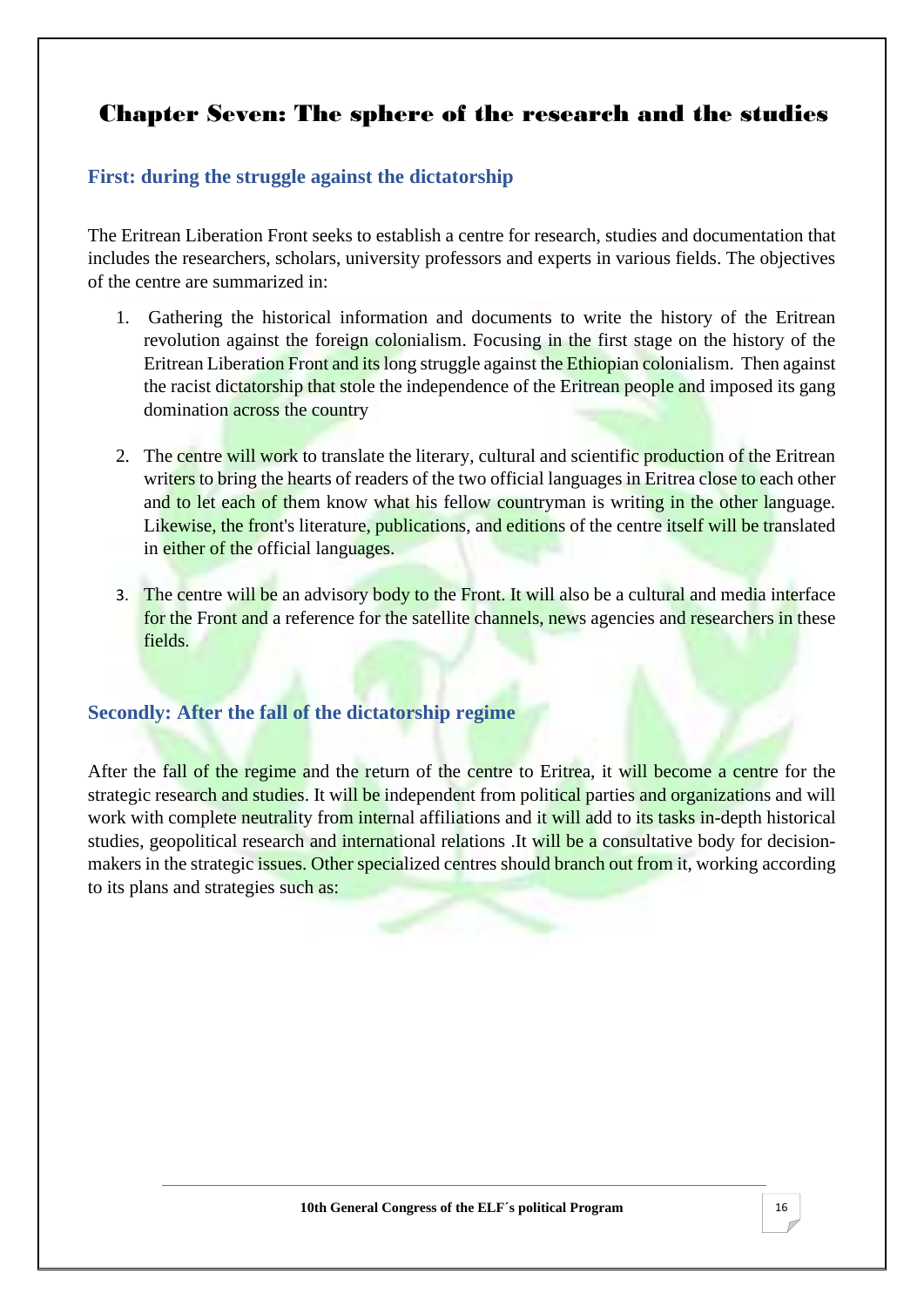# <span id="page-19-0"></span>Chapter Seven: The sphere of the research and the studies

## **First: during the struggle against the dictatorship**

The Eritrean Liberation Front seeks to establish a centre for research, studies and documentation that includes the researchers, scholars, university professors and experts in various fields. The objectives of the centre are summarized in:

- 1. Gathering the historical information and documents to write the history of the Eritrean revolution against the foreign colonialism. Focusing in the first stage on the history of the Eritrean Liberation Front and its long struggle against the Ethiopian colonialism. Then against the racist dictatorship that stole the independence of the Eritrean people and imposed its gang domination across the country
- 2. The centre will work to translate the literary, cultural and scientific production of the Eritrean writers to bring the hearts of readers of the two official languages in Eritrea close to each other and to let each of them know what his fellow countryman is writing in the other language. Likewise, the front's literature, publications, and editions of the centre itself will be translated in either of the official languages.
- 3. The centre will be an advisory body to the Front. It will also be a cultural and media interface for the Front and a reference for the satellite channels, news agencies and researchers in these fields.

#### **Secondly: After the fall of the dictatorship regime**

After the fall of the regime and the return of the centre to Eritrea, it will become a centre for the strategic research and studies. It will be independent from political parties and organizations and will work with complete neutrality from internal affiliations and it will add to its tasks in-depth historical studies, geopolitical research and international relations .It will be a consultative body for decisionmakers in the strategic issues. Other specialized centres should branch out from it, working according to its plans and strategies such as: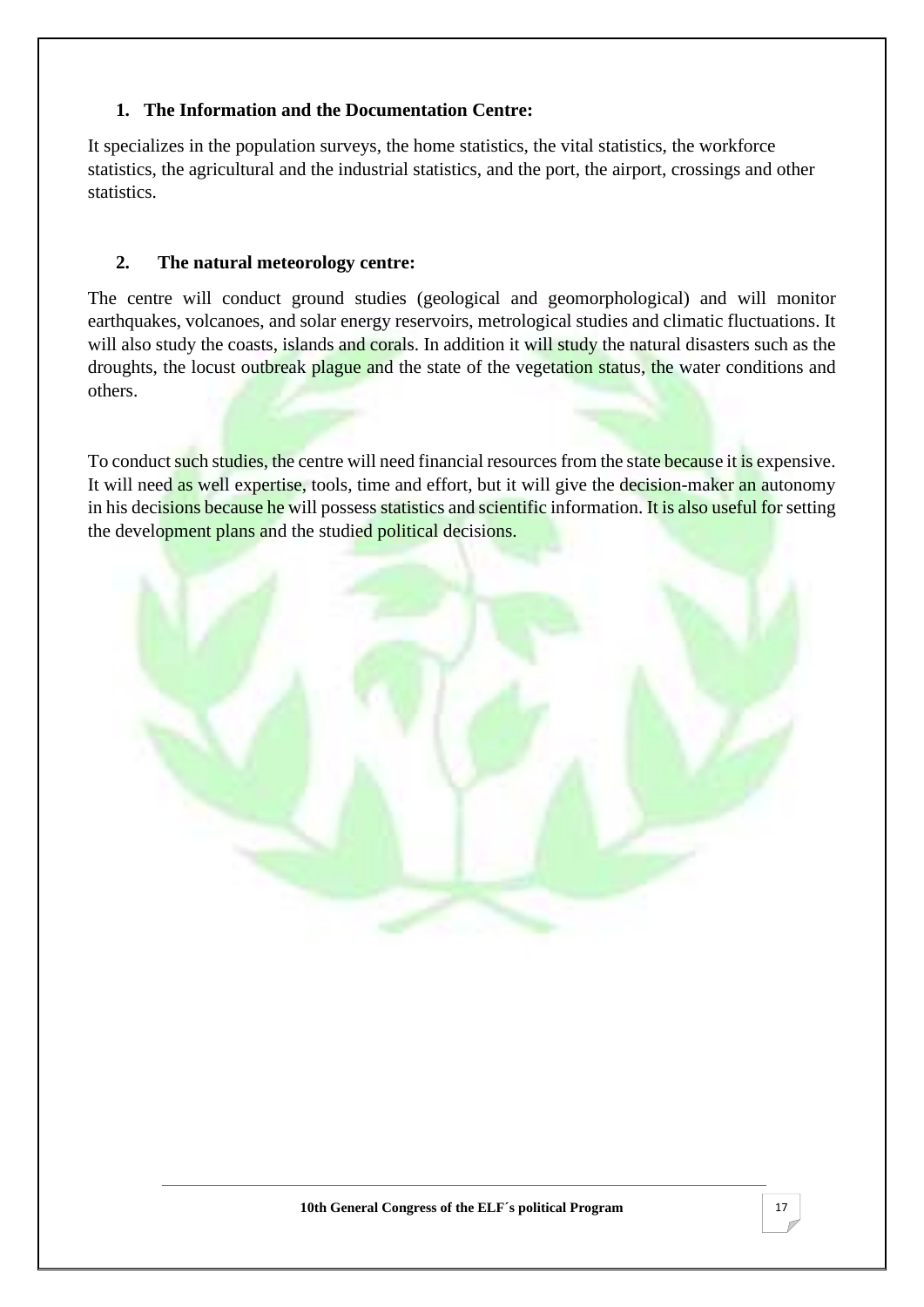#### **1. The Information and the Documentation Centre:**

It specializes in the population surveys, the home statistics, the vital statistics, the workforce statistics, the agricultural and the industrial statistics, and the port, the airport, crossings and other statistics.

#### **2. The natural meteorology centre:**

The centre will conduct ground studies (geological and geomorphological) and will monitor earthquakes, volcanoes, and solar energy reservoirs, metrological studies and climatic fluctuations. It will also study the coasts, islands and corals. In addition it will study the natural disasters such as the droughts, the locust outbreak plague and the state of the vegetation status, the water conditions and others.

To conduct such studies, the centre will need financial resources from the state because it is expensive. It will need as well expertise, tools, time and effort, but it will give the decision-maker an autonomy in his decisions because he will possess statistics and scientific information. It is also useful for setting the development plans and the studied political decisions.

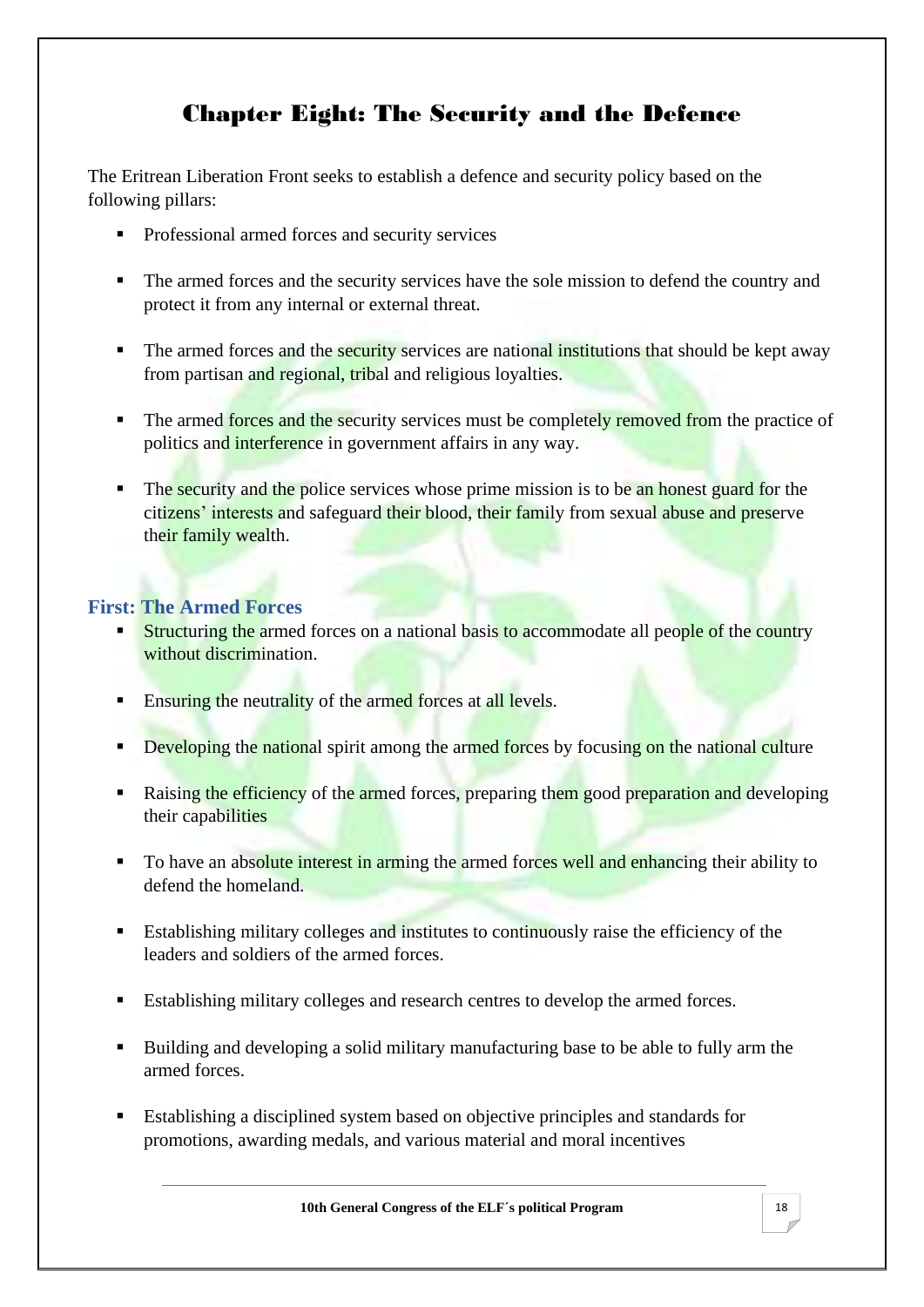# Chapter Eight: The Security and the Defence

<span id="page-21-0"></span>The Eritrean Liberation Front seeks to establish a defence and security policy based on the following pillars:

- Professional armed forces and security services
- The armed forces and the security services have the sole mission to defend the country and protect it from any internal or external threat.
- The armed forces and the security services are national institutions that should be kept away from partisan and regional, tribal and religious loyalties.
- The armed forces and the security services must be completely removed from the practice of politics and interference in government affairs in any way.
- The security and the police services whose prime mission is to be an honest guard for the citizens' interests and safeguard their blood, their family from sexual abuse and preserve their family wealth.

## **First: The Armed Forces**

- **Example 1** Structuring the armed forces on a national basis to accommodate all people of the country without discrimination.
- **Ensuring the neutrality of the armed forces at all levels.**
- **EXECUTE:** Developing the national spirit among the armed forces by focusing on the national culture
- Raising the efficiency of the armed forces, preparing them good preparation and developing their capabilities
- To have an absolute interest in arming the armed forces well and enhancing their ability to defend the homeland.
- Establishing military colleges and institutes to continuously raise the efficiency of the leaders and soldiers of the armed forces.
- Establishing military colleges and research centres to develop the armed forces.
- Building and developing a solid military manufacturing base to be able to fully arm the armed forces.
- Establishing a disciplined system based on objective principles and standards for promotions, awarding medals, and various material and moral incentives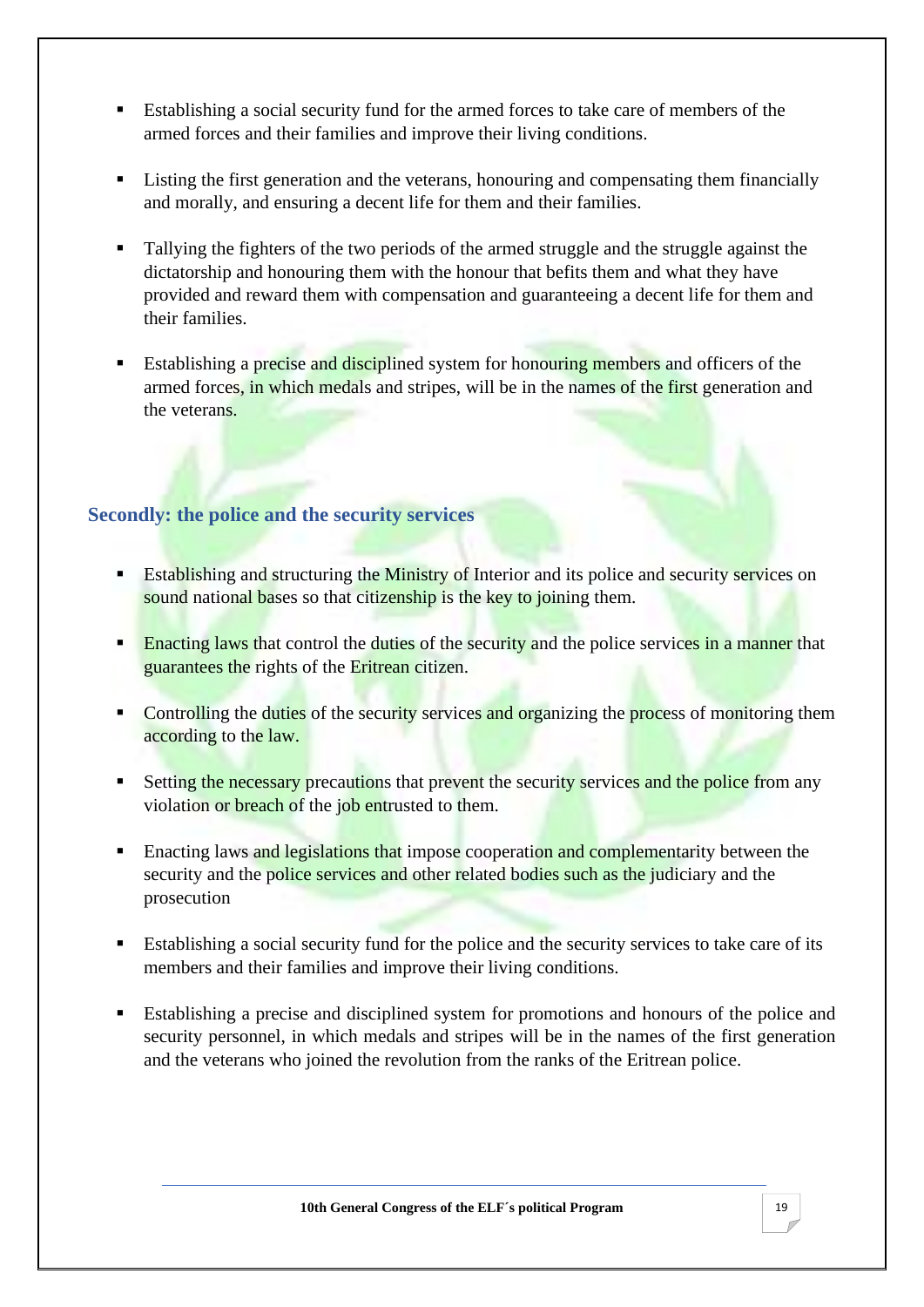- Establishing a social security fund for the armed forces to take care of members of the armed forces and their families and improve their living conditions.
- Listing the first generation and the veterans, honouring and compensating them financially and morally, and ensuring a decent life for them and their families.
- Tallying the fighters of the two periods of the armed struggle and the struggle against the dictatorship and honouring them with the honour that befits them and what they have provided and reward them with compensation and guaranteeing a decent life for them and their families.
- **Establishing a precise and disciplined system for honouring members and officers of the** armed forces, in which medals and stripes, will be in the names of the first generation and the veterans.

#### **Secondly: the police and the security services**

- **Establishing and structuring the Ministry of Interior and its police and security services on** sound national bases so that citizenship is the key to joining them.
- **Enacting laws that control the duties of the security and the police services in a manner that** guarantees the rights of the Eritrean citizen.
- Controlling the duties of the security services and organizing the process of monitoring them according to the law.
- **Example 1** Setting the necessary precautions that prevent the security services and the police from any violation or breach of the job entrusted to them.
- Enacting laws and legislations that impose cooperation and complementarity between the security and the police services and other related bodies such as the judiciary and the prosecution
- Establishing a social security fund for the police and the security services to take care of its members and their families and improve their living conditions.
- Establishing a precise and disciplined system for promotions and honours of the police and security personnel, in which medals and stripes will be in the names of the first generation and the veterans who joined the revolution from the ranks of the Eritrean police.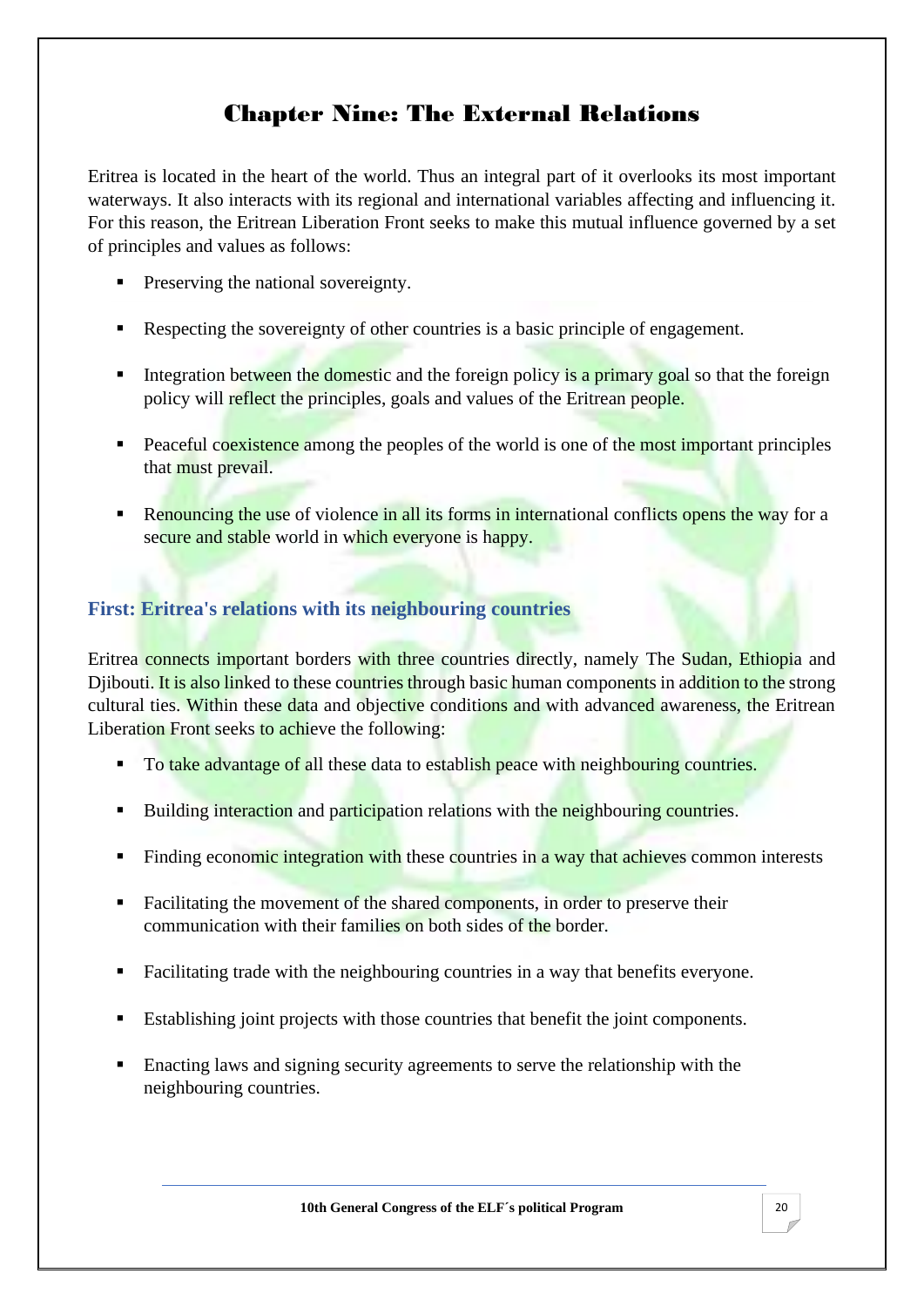# Chapter Nine: The External Relations

<span id="page-23-0"></span>Eritrea is located in the heart of the world. Thus an integral part of it overlooks its most important waterways. It also interacts with its regional and international variables affecting and influencing it. For this reason, the Eritrean Liberation Front seeks to make this mutual influence governed by a set of principles and values as follows:

- **•** Preserving the national sovereignty.
- Respecting the sovereignty of other countries is a basic principle of engagement.
- **Example 1** Integration between the domestic and the foreign policy is a primary goal so that the foreign policy will reflect the principles, goals and values of the Eritrean people.
- Peaceful coexistence among the peoples of the world is one of the most important principles that must prevail.
- **Example 1** Renouncing the use of violence in all its forms in international conflicts opens the way for a secure and stable world in which everyone is happy.

## **First: Eritrea's relations with its neighbouring countries**

Eritrea connects important borders with three countries directly, namely The Sudan, Ethiopia and Djibouti. It is also linked to these countries through basic human components in addition to the strong cultural ties. Within these data and objective conditions and with advanced awareness, the Eritrean Liberation Front seeks to achieve the following:

- To take advantage of all these data to establish peace with neighbouring countries.
- Building interaction and participation relations with the neighbouring countries.
- Finding economic integration with these countries in a way that achieves common interests
- Facilitating the movement of the shared components, in order to preserve their communication with their families on both sides of the border.
- Facilitating trade with the neighbouring countries in a way that benefits everyone.
- Establishing joint projects with those countries that benefit the joint components.
- Enacting laws and signing security agreements to serve the relationship with the neighbouring countries.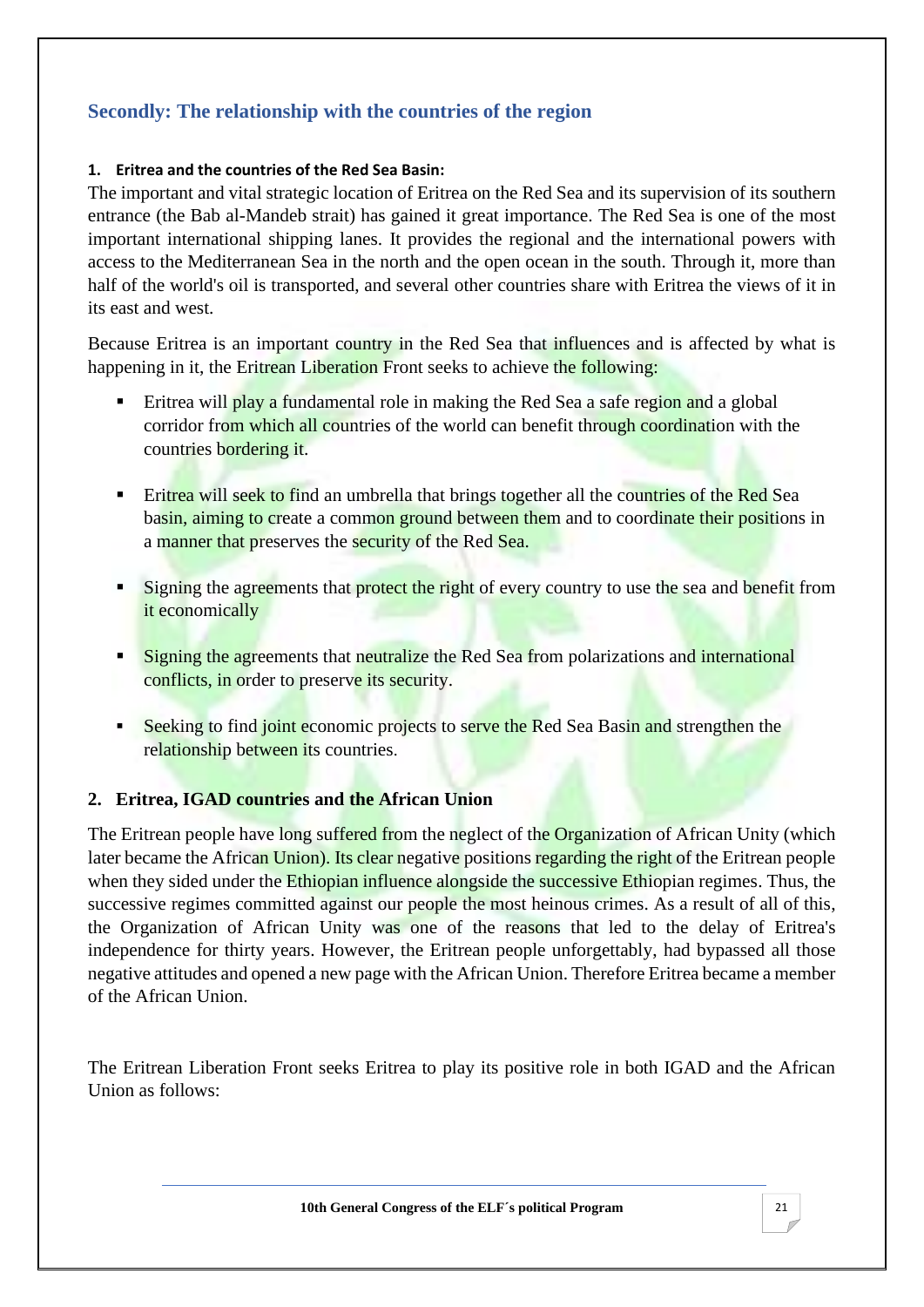## **Secondly: The relationship with the countries of the region**

#### **1. Eritrea and the countries of the Red Sea Basin:**

The important and vital strategic location of Eritrea on the Red Sea and its supervision of its southern entrance (the Bab al-Mandeb strait) has gained it great importance. The Red Sea is one of the most important international shipping lanes. It provides the regional and the international powers with access to the Mediterranean Sea in the north and the open ocean in the south. Through it, more than half of the world's oil is transported, and several other countries share with Eritrea the views of it in its east and west.

Because Eritrea is an important country in the Red Sea that influences and is affected by what is happening in it, the Eritrean Liberation Front seeks to achieve the following:

- Eritrea will play a fundamental role in making the Red Sea a safe region and a global corridor from which all countries of the world can benefit through coordination with the countries bordering it.
- **Example 1** Eritrea will seek to find an umbrella that brings together all the countries of the Red Sea basin, aiming to create a common ground between them and to coordinate their positions in a manner that preserves the security of the Red Sea.
- **Example 1** Signing the agreements that protect the right of every country to use the sea and benefit from it economically
- **Example 1** Signing the agreements that neutralize the Red Sea from polarizations and international conflicts, in order to preserve its security.
- **Example 1** Seeking to find joint economic projects to serve the Red Sea Basin and strengthen the relationship between its countries.

#### **2. Eritrea, IGAD countries and the African Union**

The Eritrean people have long suffered from the neglect of the Organization of African Unity (which later became the African Union). Its clear negative positions regarding the right of the Eritrean people when they sided under the Ethiopian influence alongside the successive Ethiopian regimes. Thus, the successive regimes committed against our people the most heinous crimes. As a result of all of this, the Organization of African Unity was one of the reasons that led to the delay of Eritrea's independence for thirty years. However, the Eritrean people unforgettably, had bypassed all those negative attitudes and opened a new page with the African Union. Therefore Eritrea became a member of the African Union.

The Eritrean Liberation Front seeks Eritrea to play its positive role in both IGAD and the African Union as follows:

**10th General Congress of the ELF´s political Program** 21